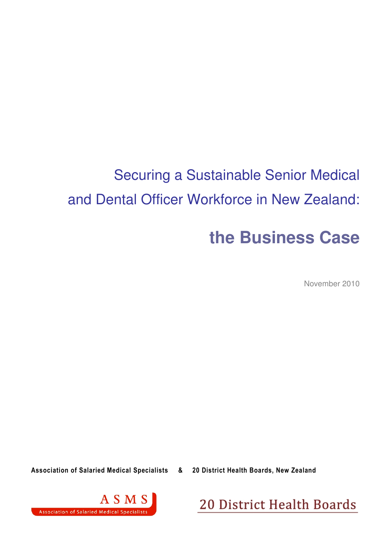# Securing a Sustainable Senior Medical and Dental Officer Workforce in New Zealand:

# **the Business Case**

November 2010

Association of Salaried Medical Specialists & 20 District Health Boards, New Zealand



20 District Health Boards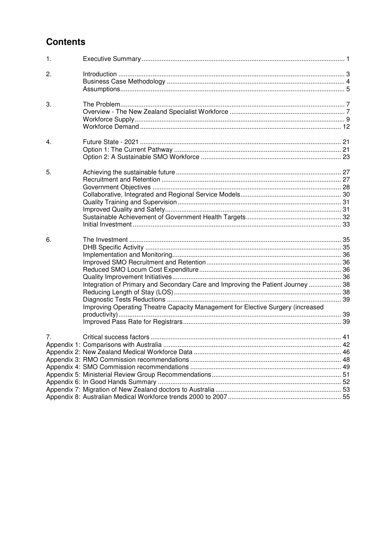# **Contents**

| $\mathbf{1}$ .   |                                                                                 |  |
|------------------|---------------------------------------------------------------------------------|--|
| 2.               |                                                                                 |  |
| 3.               |                                                                                 |  |
|                  |                                                                                 |  |
| $\overline{4}$ . |                                                                                 |  |
| 5.               |                                                                                 |  |
|                  |                                                                                 |  |
|                  |                                                                                 |  |
|                  |                                                                                 |  |
|                  |                                                                                 |  |
|                  |                                                                                 |  |
|                  |                                                                                 |  |
| 6.               |                                                                                 |  |
|                  |                                                                                 |  |
|                  |                                                                                 |  |
|                  |                                                                                 |  |
|                  |                                                                                 |  |
|                  |                                                                                 |  |
|                  | Integration of Primary and Secondary Care and Improving the Patient Journey  38 |  |
|                  |                                                                                 |  |
|                  |                                                                                 |  |
|                  | Improving Operating Theatre Capacity Management for Elective Surgery (increased |  |
|                  |                                                                                 |  |
| 7 <sub>1</sub>   |                                                                                 |  |
|                  |                                                                                 |  |
|                  |                                                                                 |  |
|                  |                                                                                 |  |
|                  |                                                                                 |  |
|                  |                                                                                 |  |
|                  |                                                                                 |  |
|                  |                                                                                 |  |
|                  |                                                                                 |  |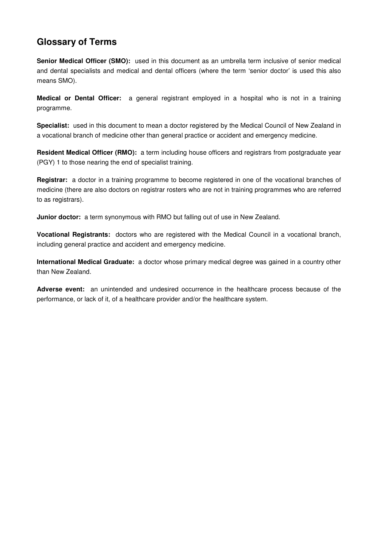# **Glossary of Terms**

**Senior Medical Officer (SMO):** used in this document as an umbrella term inclusive of senior medical and dental specialists and medical and dental officers (where the term 'senior doctor' is used this also means SMO).

**Medical or Dental Officer:** a general registrant employed in a hospital who is not in a training programme.

**Specialist:** used in this document to mean a doctor registered by the Medical Council of New Zealand in a vocational branch of medicine other than general practice or accident and emergency medicine.

**Resident Medical Officer (RMO):** a term including house officers and registrars from postgraduate year (PGY) 1 to those nearing the end of specialist training.

**Registrar:** a doctor in a training programme to become registered in one of the vocational branches of medicine (there are also doctors on registrar rosters who are not in training programmes who are referred to as registrars).

**Junior doctor:** a term synonymous with RMO but falling out of use in New Zealand.

**Vocational Registrants:** doctors who are registered with the Medical Council in a vocational branch, including general practice and accident and emergency medicine.

**International Medical Graduate:** a doctor whose primary medical degree was gained in a country other than New Zealand.

**Adverse event:** an unintended and undesired occurrence in the healthcare process because of the performance, or lack of it, of a healthcare provider and/or the healthcare system.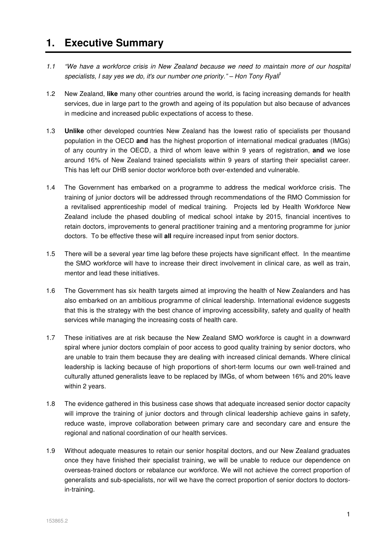# **1. Executive Summary**

- 1.1 "We have a workforce crisis in New Zealand because we need to maintain more of our hospital specialists, I say yes we do, it's our number one priority." – Hon Tony Ryall<sup>1</sup>
- 1.2 New Zealand, **like** many other countries around the world, is facing increasing demands for health services, due in large part to the growth and ageing of its population but also because of advances in medicine and increased public expectations of access to these.
- 1.3 **Unlike** other developed countries New Zealand has the lowest ratio of specialists per thousand population in the OECD **and** has the highest proportion of international medical graduates (IMGs) of any country in the OECD, a third of whom leave within 9 years of registration, **and** we lose around 16% of New Zealand trained specialists within 9 years of starting their specialist career. This has left our DHB senior doctor workforce both over-extended and vulnerable.
- 1.4 The Government has embarked on a programme to address the medical workforce crisis. The training of junior doctors will be addressed through recommendations of the RMO Commission for a revitalised apprenticeship model of medical training. Projects led by Health Workforce New Zealand include the phased doubling of medical school intake by 2015, financial incentives to retain doctors, improvements to general practitioner training and a mentoring programme for junior doctors. To be effective these will **all** require increased input from senior doctors.
- 1.5 There will be a several year time lag before these projects have significant effect. In the meantime the SMO workforce will have to increase their direct involvement in clinical care, as well as train, mentor and lead these initiatives.
- 1.6 The Government has six health targets aimed at improving the health of New Zealanders and has also embarked on an ambitious programme of clinical leadership. International evidence suggests that this is the strategy with the best chance of improving accessibility, safety and quality of health services while managing the increasing costs of health care.
- 1.7 These initiatives are at risk because the New Zealand SMO workforce is caught in a downward spiral where junior doctors complain of poor access to good quality training by senior doctors, who are unable to train them because they are dealing with increased clinical demands. Where clinical leadership is lacking because of high proportions of short-term locums our own well-trained and culturally attuned generalists leave to be replaced by IMGs, of whom between 16% and 20% leave within 2 years.
- 1.8 The evidence gathered in this business case shows that adequate increased senior doctor capacity will improve the training of junior doctors and through clinical leadership achieve gains in safety, reduce waste, improve collaboration between primary care and secondary care and ensure the regional and national coordination of our health services.
- 1.9 Without adequate measures to retain our senior hospital doctors, and our New Zealand graduates once they have finished their specialist training, we will be unable to reduce our dependence on overseas-trained doctors or rebalance our workforce. We will not achieve the correct proportion of generalists and sub-specialists, nor will we have the correct proportion of senior doctors to doctorsin-training.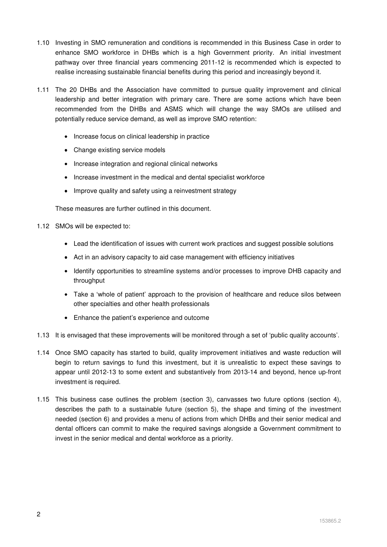- 1.10 Investing in SMO remuneration and conditions is recommended in this Business Case in order to enhance SMO workforce in DHBs which is a high Government priority. An initial investment pathway over three financial years commencing 2011-12 is recommended which is expected to realise increasing sustainable financial benefits during this period and increasingly beyond it.
- 1.11 The 20 DHBs and the Association have committed to pursue quality improvement and clinical leadership and better integration with primary care. There are some actions which have been recommended from the DHBs and ASMS which will change the way SMOs are utilised and potentially reduce service demand, as well as improve SMO retention:
	- Increase focus on clinical leadership in practice
	- Change existing service models
	- Increase integration and regional clinical networks
	- Increase investment in the medical and dental specialist workforce
	- Improve quality and safety using a reinvestment strategy

These measures are further outlined in this document.

- 1.12 SMOs will be expected to:
	- Lead the identification of issues with current work practices and suggest possible solutions
	- Act in an advisory capacity to aid case management with efficiency initiatives
	- Identify opportunities to streamline systems and/or processes to improve DHB capacity and throughput
	- Take a 'whole of patient' approach to the provision of healthcare and reduce silos between other specialties and other health professionals
	- Enhance the patient's experience and outcome
- 1.13 It is envisaged that these improvements will be monitored through a set of 'public quality accounts'.
- 1.14 Once SMO capacity has started to build, quality improvement initiatives and waste reduction will begin to return savings to fund this investment, but it is unrealistic to expect these savings to appear until 2012-13 to some extent and substantively from 2013-14 and beyond, hence up-front investment is required.
- 1.15 This business case outlines the problem (section 3), canvasses two future options (section 4), describes the path to a sustainable future (section 5), the shape and timing of the investment needed (section 6) and provides a menu of actions from which DHBs and their senior medical and dental officers can commit to make the required savings alongside a Government commitment to invest in the senior medical and dental workforce as a priority.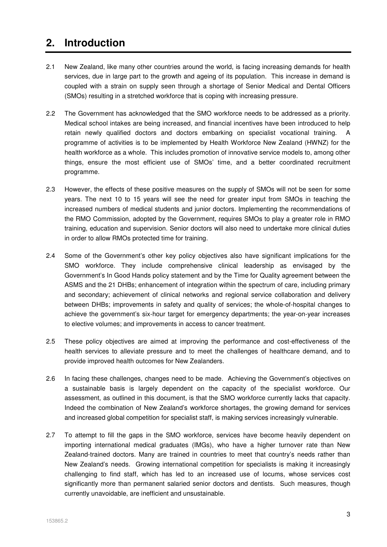# **2. Introduction**

- 2.1 New Zealand, like many other countries around the world, is facing increasing demands for health services, due in large part to the growth and ageing of its population. This increase in demand is coupled with a strain on supply seen through a shortage of Senior Medical and Dental Officers (SMOs) resulting in a stretched workforce that is coping with increasing pressure.
- 2.2 The Government has acknowledged that the SMO workforce needs to be addressed as a priority. Medical school intakes are being increased, and financial incentives have been introduced to help retain newly qualified doctors and doctors embarking on specialist vocational training. A programme of activities is to be implemented by Health Workforce New Zealand (HWNZ) for the health workforce as a whole. This includes promotion of innovative service models to, among other things, ensure the most efficient use of SMOs' time, and a better coordinated recruitment programme.
- 2.3 However, the effects of these positive measures on the supply of SMOs will not be seen for some years. The next 10 to 15 years will see the need for greater input from SMOs in teaching the increased numbers of medical students and junior doctors. Implementing the recommendations of the RMO Commission, adopted by the Government, requires SMOs to play a greater role in RMO training, education and supervision. Senior doctors will also need to undertake more clinical duties in order to allow RMOs protected time for training.
- 2.4 Some of the Government's other key policy objectives also have significant implications for the SMO workforce. They include comprehensive clinical leadership as envisaged by the Government's In Good Hands policy statement and by the Time for Quality agreement between the ASMS and the 21 DHBs; enhancement of integration within the spectrum of care, including primary and secondary; achievement of clinical networks and regional service collaboration and delivery between DHBs; improvements in safety and quality of services; the whole-of-hospital changes to achieve the government's six-hour target for emergency departments; the year-on-year increases to elective volumes; and improvements in access to cancer treatment.
- 2.5 These policy objectives are aimed at improving the performance and cost-effectiveness of the health services to alleviate pressure and to meet the challenges of healthcare demand, and to provide improved health outcomes for New Zealanders.
- 2.6 In facing these challenges, changes need to be made. Achieving the Government's objectives on a sustainable basis is largely dependent on the capacity of the specialist workforce. Our assessment, as outlined in this document, is that the SMO workforce currently lacks that capacity. Indeed the combination of New Zealand's workforce shortages, the growing demand for services and increased global competition for specialist staff, is making services increasingly vulnerable.
- 2.7 To attempt to fill the gaps in the SMO workforce, services have become heavily dependent on importing international medical graduates (IMGs), who have a higher turnover rate than New Zealand-trained doctors. Many are trained in countries to meet that country's needs rather than New Zealand's needs. Growing international competition for specialists is making it increasingly challenging to find staff, which has led to an increased use of locums, whose services cost significantly more than permanent salaried senior doctors and dentists. Such measures, though currently unavoidable, are inefficient and unsustainable.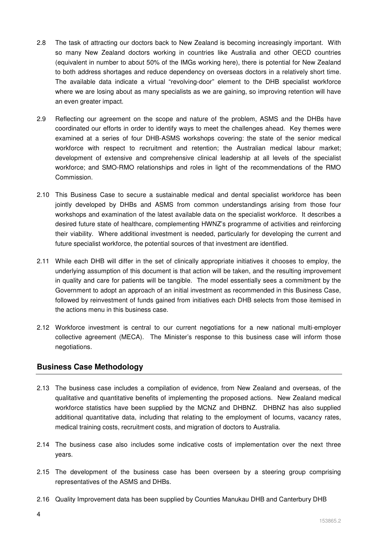- 2.8 The task of attracting our doctors back to New Zealand is becoming increasingly important. With so many New Zealand doctors working in countries like Australia and other OECD countries (equivalent in number to about 50% of the IMGs working here), there is potential for New Zealand to both address shortages and reduce dependency on overseas doctors in a relatively short time. The available data indicate a virtual "revolving-door" element to the DHB specialist workforce where we are losing about as many specialists as we are gaining, so improving retention will have an even greater impact.
- 2.9 Reflecting our agreement on the scope and nature of the problem, ASMS and the DHBs have coordinated our efforts in order to identify ways to meet the challenges ahead. Key themes were examined at a series of four DHB-ASMS workshops covering: the state of the senior medical workforce with respect to recruitment and retention; the Australian medical labour market; development of extensive and comprehensive clinical leadership at all levels of the specialist workforce; and SMO-RMO relationships and roles in light of the recommendations of the RMO Commission.
- 2.10 This Business Case to secure a sustainable medical and dental specialist workforce has been jointly developed by DHBs and ASMS from common understandings arising from those four workshops and examination of the latest available data on the specialist workforce. It describes a desired future state of healthcare, complementing HWNZ's programme of activities and reinforcing their viability. Where additional investment is needed, particularly for developing the current and future specialist workforce, the potential sources of that investment are identified.
- 2.11 While each DHB will differ in the set of clinically appropriate initiatives it chooses to employ, the underlying assumption of this document is that action will be taken, and the resulting improvement in quality and care for patients will be tangible. The model essentially sees a commitment by the Government to adopt an approach of an initial investment as recommended in this Business Case, followed by reinvestment of funds gained from initiatives each DHB selects from those itemised in the actions menu in this business case.
- 2.12 Workforce investment is central to our current negotiations for a new national multi-employer collective agreement (MECA). The Minister's response to this business case will inform those negotiations.

# **Business Case Methodology**

- 2.13 The business case includes a compilation of evidence, from New Zealand and overseas, of the qualitative and quantitative benefits of implementing the proposed actions. New Zealand medical workforce statistics have been supplied by the MCNZ and DHBNZ. DHBNZ has also supplied additional quantitative data, including that relating to the employment of locums, vacancy rates, medical training costs, recruitment costs, and migration of doctors to Australia.
- 2.14 The business case also includes some indicative costs of implementation over the next three years.
- 2.15 The development of the business case has been overseen by a steering group comprising representatives of the ASMS and DHBs.
- 2.16 Quality Improvement data has been supplied by Counties Manukau DHB and Canterbury DHB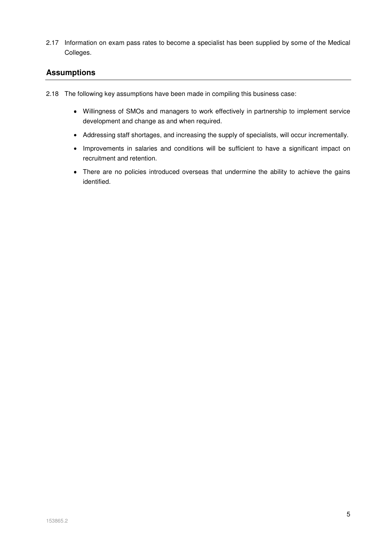2.17 Information on exam pass rates to become a specialist has been supplied by some of the Medical Colleges.

# **Assumptions**

- 2.18 The following key assumptions have been made in compiling this business case:
	- Willingness of SMOs and managers to work effectively in partnership to implement service development and change as and when required.
	- Addressing staff shortages, and increasing the supply of specialists, will occur incrementally.
	- Improvements in salaries and conditions will be sufficient to have a significant impact on recruitment and retention.
	- There are no policies introduced overseas that undermine the ability to achieve the gains identified.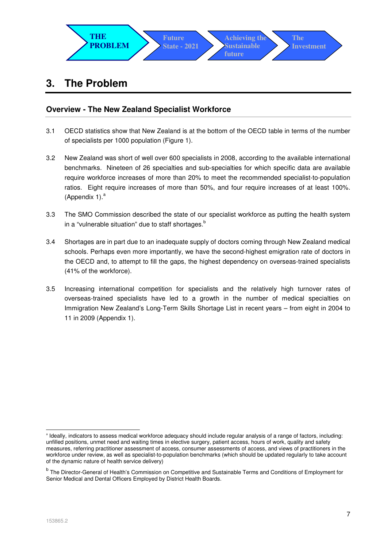

# **3. The Problem**

# **Overview - The New Zealand Specialist Workforce**

- 3.1 OECD statistics show that New Zealand is at the bottom of the OECD table in terms of the number of specialists per 1000 population (Figure 1).
- 3.2 New Zealand was short of well over 600 specialists in 2008, according to the available international benchmarks. Nineteen of 26 specialties and sub-specialties for which specific data are available require workforce increases of more than 20% to meet the recommended specialist-to-population ratios. Eight require increases of more than 50%, and four require increases of at least 100%. (Appendix 1). $a$
- 3.3 The SMO Commission described the state of our specialist workforce as putting the health system in a "vulnerable situation" due to staff shortages. $b$
- 3.4 Shortages are in part due to an inadequate supply of doctors coming through New Zealand medical schools. Perhaps even more importantly, we have the second-highest emigration rate of doctors in the OECD and, to attempt to fill the gaps, the highest dependency on overseas-trained specialists (41% of the workforce).
- 3.5 Increasing international competition for specialists and the relatively high turnover rates of overseas-trained specialists have led to a growth in the number of medical specialties on Immigration New Zealand's Long-Term Skills Shortage List in recent years – from eight in 2004 to 11 in 2009 (Appendix 1).

-

<sup>&</sup>lt;sup>a</sup> Ideally, indicators to assess medical workforce adequacy should include regular analysis of a range of factors, including: unfilled positions, unmet need and waiting times in elective surgery, patient access, hours of work, quality and safety measures, referring practitioner assessment of access, consumer assessments of access, and views of practitioners in the workforce under review, as well as specialist-to-population benchmarks (which should be updated regularly to take account of the dynamic nature of health service delivery)

<sup>&</sup>lt;sup>b</sup> The Director-General of Health's Commission on Competitive and Sustainable Terms and Conditions of Employment for Senior Medical and Dental Officers Employed by District Health Boards.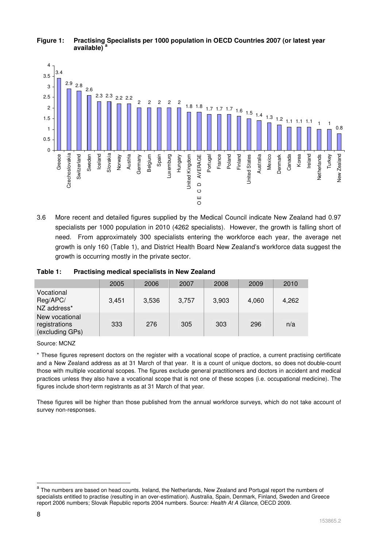

### **Figure 1: Practising Specialists per 1000 population in OECD Countries 2007 (or latest year available) <sup>a</sup>**

3.6 More recent and detailed figures supplied by the Medical Council indicate New Zealand had 0.97 specialists per 1000 population in 2010 (4262 specialists). However, the growth is falling short of need. From approximately 300 specialists entering the workforce each year, the average net growth is only 160 (Table 1), and District Health Board New Zealand's workforce data suggest the growth is occurring mostly in the private sector.

### **Table 1: Practising medical specialists in New Zealand**

|                                                    | 2005  | 2006  | 2007  | 2008  | 2009  | 2010  |
|----------------------------------------------------|-------|-------|-------|-------|-------|-------|
| Vocational<br>Reg/APC/<br>NZ address*              | 3,451 | 3,536 | 3,757 | 3,903 | 4,060 | 4,262 |
| New vocational<br>registrations<br>(excluding GPs) | 333   | 276   | 305   | 303   | 296   | n/a   |

Source: MCNZ

\* These figures represent doctors on the register with a vocational scope of practice, a current practising certificate and a New Zealand address as at 31 March of that year. It is a count of unique doctors, so does not double-count those with multiple vocational scopes. The figures exclude general practitioners and doctors in accident and medical practices unless they also have a vocational scope that is not one of these scopes (i.e. occupational medicine). The figures include short-term registrants as at 31 March of that year.

These figures will be higher than those published from the annual workforce surveys, which do not take account of survey non-responses.

a<br>The numbers are based on head counts. Ireland, the Netherlands, New Zealand and Portugal report the numbers of specialists entitled to practise (resulting in an over-estimation). Australia, Spain, Denmark, Finland, Sweden and Greece report 2006 numbers; Slovak Republic reports 2004 numbers. Source: Health At A Glance, OECD 2009.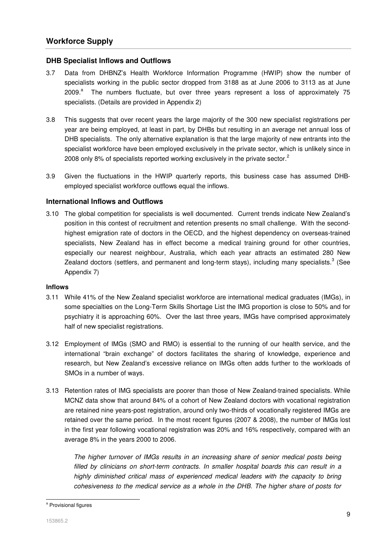#### **DHB Specialist Inflows and Outflows**

- 3.7 Data from DHBNZ's Health Workforce Information Programme (HWIP) show the number of specialists working in the public sector dropped from 3188 as at June 2006 to 3113 as at June  $2009.<sup>a</sup>$  The numbers fluctuate, but over three years represent a loss of approximately 75 specialists. (Details are provided in Appendix 2)
- 3.8 This suggests that over recent years the large majority of the 300 new specialist registrations per year are being employed, at least in part, by DHBs but resulting in an average net annual loss of DHB specialists. The only alternative explanation is that the large majority of new entrants into the specialist workforce have been employed exclusively in the private sector, which is unlikely since in 2008 only 8% of specialists reported working exclusively in the private sector.<sup>2</sup>
- 3.9 Given the fluctuations in the HWIP quarterly reports, this business case has assumed DHBemployed specialist workforce outflows equal the inflows.

#### **International Inflows and Outflows**

3.10 The global competition for specialists is well documented. Current trends indicate New Zealand's position in this contest of recruitment and retention presents no small challenge. With the secondhighest emigration rate of doctors in the OECD, and the highest dependency on overseas-trained specialists. New Zealand has in effect become a medical training ground for other countries, especially our nearest neighbour, Australia, which each year attracts an estimated 280 New Zealand doctors (settlers, and permanent and long-term stays), including many specialists.<sup>3</sup> (See Appendix 7)

#### **Inflows**

- 3.11 While 41% of the New Zealand specialist workforce are international medical graduates (IMGs), in some specialties on the Long-Term Skills Shortage List the IMG proportion is close to 50% and for psychiatry it is approaching 60%. Over the last three years, IMGs have comprised approximately half of new specialist registrations.
- 3.12 Employment of IMGs (SMO and RMO) is essential to the running of our health service, and the international "brain exchange" of doctors facilitates the sharing of knowledge, experience and research, but New Zealand's excessive reliance on IMGs often adds further to the workloads of SMOs in a number of ways.
- 3.13 Retention rates of IMG specialists are poorer than those of New Zealand-trained specialists. While MCNZ data show that around 84% of a cohort of New Zealand doctors with vocational registration are retained nine years-post registration, around only two-thirds of vocationally registered IMGs are retained over the same period. In the most recent figures (2007 & 2008), the number of IMGs lost in the first year following vocational registration was 20% and 16% respectively, compared with an average 8% in the years 2000 to 2006.

The higher turnover of IMGs results in an increasing share of senior medical posts being filled by clinicians on short-term contracts. In smaller hospital boards this can result in a highly diminished critical mass of experienced medical leaders with the capacity to bring cohesiveness to the medical service as a whole in the DHB. The higher share of posts for

l

<sup>&</sup>lt;sup>a</sup> Provisional figures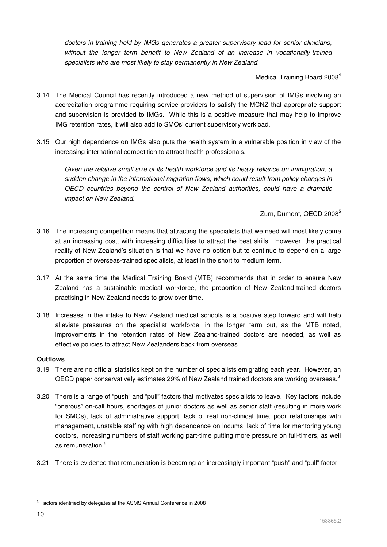doctors-in-training held by IMGs generates a greater supervisory load for senior clinicians, without the longer term benefit to New Zealand of an increase in vocationally-trained specialists who are most likely to stay permanently in New Zealand.

Medical Training Board 2008<sup>4</sup>

- 3.14 The Medical Council has recently introduced a new method of supervision of IMGs involving an accreditation programme requiring service providers to satisfy the MCNZ that appropriate support and supervision is provided to IMGs. While this is a positive measure that may help to improve IMG retention rates, it will also add to SMOs' current supervisory workload.
- 3.15 Our high dependence on IMGs also puts the health system in a vulnerable position in view of the increasing international competition to attract health professionals.

Given the relative small size of its health workforce and its heavy reliance on immigration, a sudden change in the international migration flows, which could result from policy changes in OECD countries beyond the control of New Zealand authorities, could have a dramatic impact on New Zealand.

Zurn, Dumont, OECD 2008<sup>5</sup>

- 3.16 The increasing competition means that attracting the specialists that we need will most likely come at an increasing cost, with increasing difficulties to attract the best skills. However, the practical reality of New Zealand's situation is that we have no option but to continue to depend on a large proportion of overseas-trained specialists, at least in the short to medium term.
- 3.17 At the same time the Medical Training Board (MTB) recommends that in order to ensure New Zealand has a sustainable medical workforce, the proportion of New Zealand-trained doctors practising in New Zealand needs to grow over time.
- 3.18 Increases in the intake to New Zealand medical schools is a positive step forward and will help alleviate pressures on the specialist workforce, in the longer term but, as the MTB noted, improvements in the retention rates of New Zealand-trained doctors are needed, as well as effective policies to attract New Zealanders back from overseas.

### **Outflows**

- 3.19 There are no official statistics kept on the number of specialists emigrating each year. However, an OECD paper conservatively estimates 29% of New Zealand trained doctors are working overseas.<sup>6</sup>
- 3.20 There is a range of "push" and "pull" factors that motivates specialists to leave. Key factors include "onerous" on-call hours, shortages of junior doctors as well as senior staff (resulting in more work for SMOs), lack of administrative support, lack of real non-clinical time, poor relationships with management, unstable staffing with high dependence on locums, lack of time for mentoring young doctors, increasing numbers of staff working part-time putting more pressure on full-timers, as well as remuneration <sup>a</sup>
- 3.21 There is evidence that remuneration is becoming an increasingly important "push" and "pull" factor.

l <sup>a</sup> Factors identified by delegates at the ASMS Annual Conference in 2008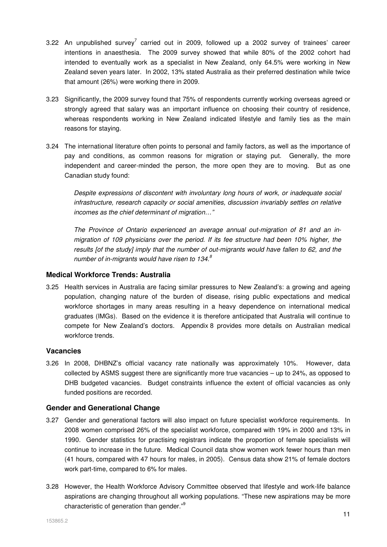- 3.22 An unpublished survey<sup>7</sup> carried out in 2009, followed up a 2002 survey of trainees' career intentions in anaesthesia. The 2009 survey showed that while 80% of the 2002 cohort had intended to eventually work as a specialist in New Zealand, only 64.5% were working in New Zealand seven years later. In 2002, 13% stated Australia as their preferred destination while twice that amount (26%) were working there in 2009.
- 3.23 Significantly, the 2009 survey found that 75% of respondents currently working overseas agreed or strongly agreed that salary was an important influence on choosing their country of residence, whereas respondents working in New Zealand indicated lifestyle and family ties as the main reasons for staying.
- 3.24 The international literature often points to personal and family factors, as well as the importance of pay and conditions, as common reasons for migration or staying put. Generally, the more independent and career-minded the person, the more open they are to moving. But as one Canadian study found:

Despite expressions of discontent with involuntary long hours of work, or inadequate social infrastructure, research capacity or social amenities, discussion invariably settles on relative incomes as the chief determinant of migration…"

The Province of Ontario experienced an average annual out-migration of 81 and an inmigration of 109 physicians over the period. If its fee structure had been 10% higher, the results [of the study] imply that the number of out-migrants would have fallen to 62, and the number of in-migrants would have risen to  $134$ .<sup>8</sup>

#### **Medical Workforce Trends: Australia**

3.25 Health services in Australia are facing similar pressures to New Zealand's: a growing and ageing population, changing nature of the burden of disease, rising public expectations and medical workforce shortages in many areas resulting in a heavy dependence on international medical graduates (IMGs). Based on the evidence it is therefore anticipated that Australia will continue to compete for New Zealand's doctors. Appendix 8 provides more details on Australian medical workforce trends.

#### **Vacancies**

3.26 In 2008, DHBNZ's official vacancy rate nationally was approximately 10%. However, data collected by ASMS suggest there are significantly more true vacancies – up to 24%, as opposed to DHB budgeted vacancies. Budget constraints influence the extent of official vacancies as only funded positions are recorded.

#### **Gender and Generational Change**

- 3.27 Gender and generational factors will also impact on future specialist workforce requirements. In 2008 women comprised 26% of the specialist workforce, compared with 19% in 2000 and 13% in 1990. Gender statistics for practising registrars indicate the proportion of female specialists will continue to increase in the future. Medical Council data show women work fewer hours than men (41 hours, compared with 47 hours for males, in 2005). Census data show 21% of female doctors work part-time, compared to 6% for males.
- 3.28 However, the Health Workforce Advisory Committee observed that lifestyle and work-life balance aspirations are changing throughout all working populations. "These new aspirations may be more characteristic of generation than gender."<sup>9</sup>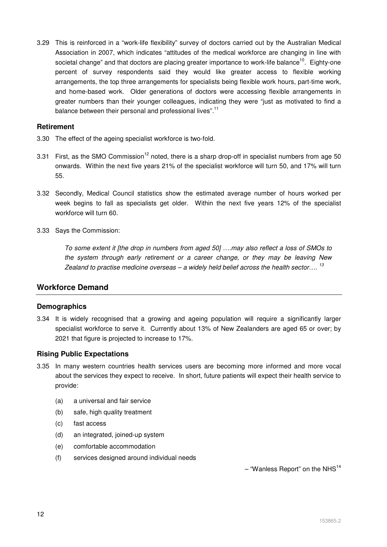3.29 This is reinforced in a "work-life flexibility" survey of doctors carried out by the Australian Medical Association in 2007, which indicates "attitudes of the medical workforce are changing in line with societal change" and that doctors are placing greater importance to work-life balance<sup>10</sup>. Eighty-one percent of survey respondents said they would like greater access to flexible working arrangements, the top three arrangements for specialists being flexible work hours, part-time work, and home-based work. Older generations of doctors were accessing flexible arrangements in greater numbers than their younger colleagues, indicating they were "just as motivated to find a balance between their personal and professional lives".<sup>11</sup>

#### **Retirement**

- 3.30 The effect of the ageing specialist workforce is two-fold.
- 3.31 First, as the SMO Commission<sup>12</sup> noted, there is a sharp drop-off in specialist numbers from age 50 onwards. Within the next five years 21% of the specialist workforce will turn 50, and 17% will turn 55.
- 3.32 Secondly, Medical Council statistics show the estimated average number of hours worked per week begins to fall as specialists get older. Within the next five years 12% of the specialist workforce will turn 60.
- 3.33 Says the Commission:

To some extent it [the drop in numbers from aged 50] ….may also reflect a loss of SMOs to the system through early retirement or a career change, or they may be leaving New Zealand to practise medicine overseas – a widely held belief across the health sector....<sup>13</sup>

# **Workforce Demand**

### **Demographics**

3.34 It is widely recognised that a growing and ageing population will require a significantly larger specialist workforce to serve it. Currently about 13% of New Zealanders are aged 65 or over; by 2021 that figure is projected to increase to 17%.

#### **Rising Public Expectations**

- 3.35 In many western countries health services users are becoming more informed and more vocal about the services they expect to receive. In short, future patients will expect their health service to provide:
	- (a) a universal and fair service
	- (b) safe, high quality treatment
	- (c) fast access
	- (d) an integrated, joined-up system
	- (e) comfortable accommodation
	- (f) services designed around individual needs

 $-$  "Wanless Report" on the NHS<sup>14</sup>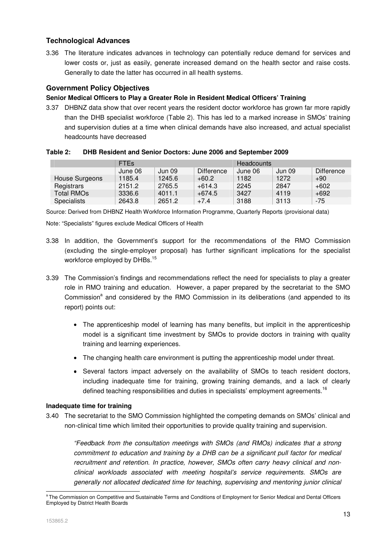# **Technological Advances**

3.36 The literature indicates advances in technology can potentially reduce demand for services and lower costs or, just as easily, generate increased demand on the health sector and raise costs. Generally to date the latter has occurred in all health systems.

### **Government Policy Objectives**

### **Senior Medical Officers to Play a Greater Role in Resident Medical Officers' Training**

3.37 DHBNZ data show that over recent years the resident doctor workforce has grown far more rapidly than the DHB specialist workforce (Table 2). This has led to a marked increase in SMOs' training and supervision duties at a time when clinical demands have also increased, and actual specialist headcounts have decreased

#### **Table 2: DHB Resident and Senior Doctors: June 2006 and September 2009**

|                    | <b>FTE<sub>s</sub></b> |        |            | <b>Headcounts</b> |        |            |  |
|--------------------|------------------------|--------|------------|-------------------|--------|------------|--|
|                    | June 06                | Jun 09 | Difference | June 06           | Jun 09 | Difference |  |
| House Surgeons     | 1185.4                 | 1245.6 | $+60.2$    | 1182              | 1272   | $+90$      |  |
| Registrars         | 2151.2                 | 2765.5 | $+614.3$   | 2245              | 2847   | $+602$     |  |
| <b>Total RMOs</b>  | 3336.6                 | 4011.1 | $+674.5$   | 3427              | 4119   | $+692$     |  |
| <b>Specialists</b> | 2643.8                 | 2651.2 | $+7.4$     | 3188              | 3113   | $-75$      |  |

Source: Derived from DHBNZ Health Workforce Information Programme, Quarterly Reports (provisional data)

Note: "Specialists" figures exclude Medical Officers of Health

- 3.38 In addition, the Government's support for the recommendations of the RMO Commission (excluding the single-employer proposal) has further significant implications for the specialist workforce employed by DHBs.<sup>15</sup>
- 3.39 The Commission's findings and recommendations reflect the need for specialists to play a greater role in RMO training and education. However, a paper prepared by the secretariat to the SMO Commission<sup>a</sup> and considered by the RMO Commission in its deliberations (and appended to its report) points out:
	- The apprenticeship model of learning has many benefits, but implicit in the apprenticeship model is a significant time investment by SMOs to provide doctors in training with quality training and learning experiences.
	- The changing health care environment is putting the apprenticeship model under threat.
	- Several factors impact adversely on the availability of SMOs to teach resident doctors, including inadequate time for training, growing training demands, and a lack of clearly defined teaching responsibilities and duties in specialists' employment agreements.<sup>16</sup>

#### **Inadequate time for training**

3.40 The secretariat to the SMO Commission highlighted the competing demands on SMOs' clinical and non-clinical time which limited their opportunities to provide quality training and supervision.

"Feedback from the consultation meetings with SMOs (and RMOs) indicates that a strong commitment to education and training by a DHB can be a significant pull factor for medical recruitment and retention. In practice, however, SMOs often carry heavy clinical and nonclinical workloads associated with meeting hospital's service requirements. SMOs are generally not allocated dedicated time for teaching, supervising and mentoring junior clinical

<sup>-</sup><sup>a</sup> The Commission on Competitive and Sustainable Terms and Conditions of Employment for Senior Medical and Dental Officers Employed by District Health Boards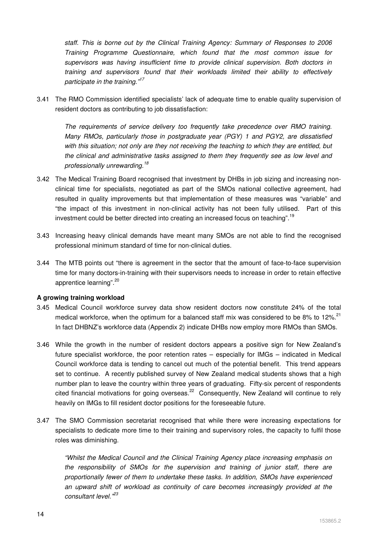staff. This is borne out by the Clinical Training Agency: Summary of Responses to 2006 Training Programme Questionnaire, which found that the most common issue for supervisors was having insufficient time to provide clinical supervision. Both doctors in training and supervisors found that their workloads limited their ability to effectively participate in the training."<sup>17</sup>

3.41 The RMO Commission identified specialists' lack of adequate time to enable quality supervision of resident doctors as contributing to job dissatisfaction:

The requirements of service delivery too frequently take precedence over RMO training. Many RMOs, particularly those in postgraduate year (PGY) 1 and PGY2, are dissatisfied with this situation; not only are they not receiving the teaching to which they are entitled, but the clinical and administrative tasks assigned to them they frequently see as low level and professionally unrewarding.<sup>18</sup>

- 3.42 The Medical Training Board recognised that investment by DHBs in job sizing and increasing nonclinical time for specialists, negotiated as part of the SMOs national collective agreement, had resulted in quality improvements but that implementation of these measures was "variable" and "the impact of this investment in non-clinical activity has not been fully utilised. Part of this investment could be better directed into creating an increased focus on teaching".<sup>19</sup>
- 3.43 Increasing heavy clinical demands have meant many SMOs are not able to find the recognised professional minimum standard of time for non-clinical duties.
- 3.44 The MTB points out "there is agreement in the sector that the amount of face-to-face supervision time for many doctors-in-training with their supervisors needs to increase in order to retain effective apprentice learning".<sup>20</sup>

#### **A growing training workload**

- 3.45 Medical Council workforce survey data show resident doctors now constitute 24% of the total medical workforce, when the optimum for a balanced staff mix was considered to be 8% to 12%.<sup>21</sup> In fact DHBNZ's workforce data (Appendix 2) indicate DHBs now employ more RMOs than SMOs.
- 3.46 While the growth in the number of resident doctors appears a positive sign for New Zealand's future specialist workforce, the poor retention rates – especially for IMGs – indicated in Medical Council workforce data is tending to cancel out much of the potential benefit. This trend appears set to continue. A recently published survey of New Zealand medical students shows that a high number plan to leave the country within three years of graduating. Fifty-six percent of respondents cited financial motivations for going overseas.<sup>22</sup> Consequently, New Zealand will continue to rely heavily on IMGs to fill resident doctor positions for the foreseeable future.
- 3.47 The SMO Commission secretariat recognised that while there were increasing expectations for specialists to dedicate more time to their training and supervisory roles, the capacity to fulfil those roles was diminishing.

"Whilst the Medical Council and the Clinical Training Agency place increasing emphasis on the responsibility of SMOs for the supervision and training of junior staff, there are proportionally fewer of them to undertake these tasks. In addition, SMOs have experienced an upward shift of workload as continuity of care becomes increasingly provided at the consultant level."<sup>23</sup>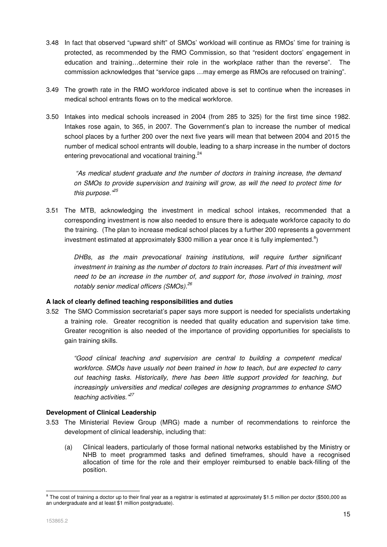- 3.48 In fact that observed "upward shift" of SMOs' workload will continue as RMOs' time for training is protected, as recommended by the RMO Commission, so that "resident doctors' engagement in education and training…determine their role in the workplace rather than the reverse". The commission acknowledges that "service gaps …may emerge as RMOs are refocused on training".
- 3.49 The growth rate in the RMO workforce indicated above is set to continue when the increases in medical school entrants flows on to the medical workforce.
- 3.50 Intakes into medical schools increased in 2004 (from 285 to 325) for the first time since 1982. Intakes rose again, to 365, in 2007. The Government's plan to increase the number of medical school places by a further 200 over the next five years will mean that between 2004 and 2015 the number of medical school entrants will double, leading to a sharp increase in the number of doctors entering prevocational and vocational training.<sup>24</sup>

 "As medical student graduate and the number of doctors in training increase, the demand on SMOs to provide supervision and training will grow, as will the need to protect time for this purpose."<sup>25</sup>

3.51 The MTB, acknowledging the investment in medical school intakes, recommended that a corresponding investment is now also needed to ensure there is adequate workforce capacity to do the training. (The plan to increase medical school places by a further 200 represents a government investment estimated at approximately \$300 million a year once it is fully implemented.<sup>a</sup>)

DHBs, as the main prevocational training institutions, will require further significant investment in training as the number of doctors to train increases. Part of this investment will need to be an increase in the number of, and support for, those involved in training, most notably senior medical officers (SMOs).<sup>26</sup>

#### **A lack of clearly defined teaching responsibilities and duties**

3.52 The SMO Commission secretariat's paper says more support is needed for specialists undertaking a training role. Greater recognition is needed that quality education and supervision take time. Greater recognition is also needed of the importance of providing opportunities for specialists to gain training skills.

"Good clinical teaching and supervision are central to building a competent medical workforce. SMOs have usually not been trained in how to teach, but are expected to carry out teaching tasks. Historically, there has been little support provided for teaching, but increasingly universities and medical colleges are designing programmes to enhance SMO teaching activities."<sup>27</sup>

#### **Development of Clinical Leadership**

- 3.53 The Ministerial Review Group (MRG) made a number of recommendations to reinforce the development of clinical leadership, including that:
	- (a) Clinical leaders, particularly of those formal national networks established by the Ministry or NHB to meet programmed tasks and defined timeframes, should have a recognised allocation of time for the role and their employer reimbursed to enable back-filling of the position.

l

<sup>&</sup>lt;sup>a</sup> The cost of training a doctor up to their final year as a registrar is estimated at approximately \$1.5 million per doctor (\$500,000 as an undergraduate and at least \$1 million postgraduate).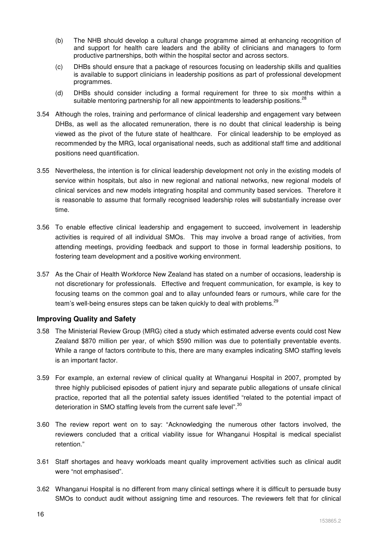- (b) The NHB should develop a cultural change programme aimed at enhancing recognition of and support for health care leaders and the ability of clinicians and managers to form productive partnerships, both within the hospital sector and across sectors.
- (c) DHBs should ensure that a package of resources focusing on leadership skills and qualities is available to support clinicians in leadership positions as part of professional development programmes.
- (d) DHBs should consider including a formal requirement for three to six months within a suitable mentoring partnership for all new appointments to leadership positions.<sup>28</sup>
- 3.54 Although the roles, training and performance of clinical leadership and engagement vary between DHBs, as well as the allocated remuneration, there is no doubt that clinical leadership is being viewed as the pivot of the future state of healthcare. For clinical leadership to be employed as recommended by the MRG, local organisational needs, such as additional staff time and additional positions need quantification.
- 3.55 Nevertheless, the intention is for clinical leadership development not only in the existing models of service within hospitals, but also in new regional and national networks, new regional models of clinical services and new models integrating hospital and community based services. Therefore it is reasonable to assume that formally recognised leadership roles will substantially increase over time.
- 3.56 To enable effective clinical leadership and engagement to succeed, involvement in leadership activities is required of all individual SMOs. This may involve a broad range of activities, from attending meetings, providing feedback and support to those in formal leadership positions, to fostering team development and a positive working environment.
- 3.57 As the Chair of Health Workforce New Zealand has stated on a number of occasions, leadership is not discretionary for professionals. Effective and frequent communication, for example, is key to focusing teams on the common goal and to allay unfounded fears or rumours, while care for the team's well-being ensures steps can be taken quickly to deal with problems.<sup>29</sup>

### **Improving Quality and Safety**

- 3.58 The Ministerial Review Group (MRG) cited a study which estimated adverse events could cost New Zealand \$870 million per year, of which \$590 million was due to potentially preventable events. While a range of factors contribute to this, there are many examples indicating SMO staffing levels is an important factor.
- 3.59 For example, an external review of clinical quality at Whanganui Hospital in 2007, prompted by three highly publicised episodes of patient injury and separate public allegations of unsafe clinical practice, reported that all the potential safety issues identified "related to the potential impact of deterioration in SMO staffing levels from the current safe level".<sup>30</sup>
- 3.60 The review report went on to say: "Acknowledging the numerous other factors involved, the reviewers concluded that a critical viability issue for Whanganui Hospital is medical specialist retention."
- 3.61 Staff shortages and heavy workloads meant quality improvement activities such as clinical audit were "not emphasised".
- 3.62 Whanganui Hospital is no different from many clinical settings where it is difficult to persuade busy SMOs to conduct audit without assigning time and resources. The reviewers felt that for clinical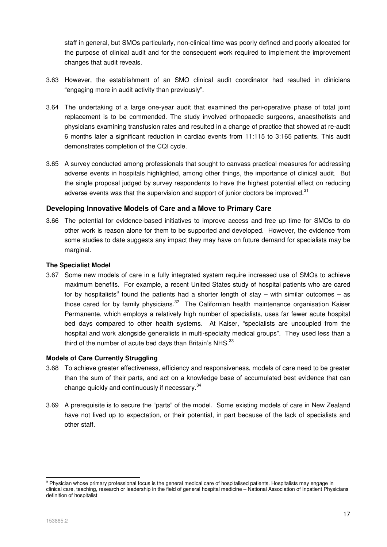staff in general, but SMOs particularly, non-clinical time was poorly defined and poorly allocated for the purpose of clinical audit and for the consequent work required to implement the improvement changes that audit reveals.

- 3.63 However, the establishment of an SMO clinical audit coordinator had resulted in clinicians "engaging more in audit activity than previously".
- 3.64 The undertaking of a large one-year audit that examined the peri-operative phase of total joint replacement is to be commended. The study involved orthopaedic surgeons, anaesthetists and physicians examining transfusion rates and resulted in a change of practice that showed at re-audit 6 months later a significant reduction in cardiac events from 11:115 to 3:165 patients. This audit demonstrates completion of the CQI cycle.
- 3.65 A survey conducted among professionals that sought to canvass practical measures for addressing adverse events in hospitals highlighted, among other things, the importance of clinical audit. But the single proposal judged by survey respondents to have the highest potential effect on reducing adverse events was that the supervision and support of junior doctors be improved.<sup>31</sup>

#### **Developing Innovative Models of Care and a Move to Primary Care**

3.66 The potential for evidence-based initiatives to improve access and free up time for SMOs to do other work is reason alone for them to be supported and developed. However, the evidence from some studies to date suggests any impact they may have on future demand for specialists may be marginal.

#### **The Specialist Model**

3.67 Some new models of care in a fully integrated system require increased use of SMOs to achieve maximum benefits. For example, a recent United States study of hospital patients who are cared for by hospitalists<sup>a</sup> found the patients had a shorter length of stay – with similar outcomes – as those cared for by family physicians.<sup>32</sup> The Californian health maintenance organisation Kaiser Permanente, which employs a relatively high number of specialists, uses far fewer acute hospital bed days compared to other health systems. At Kaiser, "specialists are uncoupled from the hospital and work alongside generalists in multi-specialty medical groups". They used less than a third of the number of acute bed days than Britain's NHS.<sup>33</sup>

#### **Models of Care Currently Struggling**

- 3.68 To achieve greater effectiveness, efficiency and responsiveness, models of care need to be greater than the sum of their parts, and act on a knowledge base of accumulated best evidence that can change quickly and continuously if necessary.<sup>34</sup>
- 3.69 A prerequisite is to secure the "parts" of the model. Some existing models of care in New Zealand have not lived up to expectation, or their potential, in part because of the lack of specialists and other staff.

-

<sup>&</sup>lt;sup>a</sup> Physician whose primary professional focus is the general medical care of hospitalised patients. Hospitalists may engage in clinical care, teaching, research or leadership in the field of general hospital medicine – National Association of Inpatient Physicians definition of hospitalist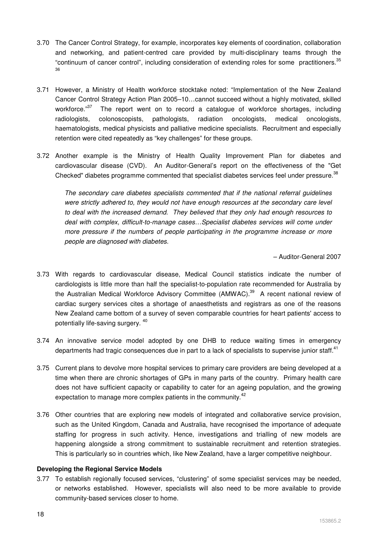- 3.70 The Cancer Control Strategy, for example, incorporates key elements of coordination, collaboration and networking, and patient-centred care provided by multi-disciplinary teams through the "continuum of cancer control", including consideration of extending roles for some practitioners.<sup>35</sup> 36
- 3.71 However, a Ministry of Health workforce stocktake noted: "Implementation of the New Zealand Cancer Control Strategy Action Plan 2005–10…cannot succeed without a highly motivated, skilled workforce." $37$  The report went on to record a catalogue of workforce shortages, including radiologists, colonoscopists, pathologists, radiation oncologists, medical oncologists, haematologists, medical physicists and palliative medicine specialists. Recruitment and especially retention were cited repeatedly as "key challenges" for these groups.
- 3.72 Another example is the Ministry of Health Quality Improvement Plan for diabetes and cardiovascular disease (CVD). An Auditor-General's report on the effectiveness of the "Get Checked" diabetes programme commented that specialist diabetes services feel under pressure.<sup>38</sup>

The secondary care diabetes specialists commented that if the national referral guidelines were strictly adhered to, they would not have enough resources at the secondary care level to deal with the increased demand. They believed that they only had enough resources to deal with complex, difficult-to-manage cases…Specialist diabetes services will come under more pressure if the numbers of people participating in the programme increase or more people are diagnosed with diabetes.

– Auditor-General 2007

- 3.73 With regards to cardiovascular disease, Medical Council statistics indicate the number of cardiologists is little more than half the specialist-to-population rate recommended for Australia by the Australian Medical Workforce Advisory Committee (AMWAC).<sup>39</sup> A recent national review of cardiac surgery services cites a shortage of anaesthetists and registrars as one of the reasons New Zealand came bottom of a survey of seven comparable countries for heart patients' access to potentially life-saving surgery. <sup>40</sup>
- 3.74 An innovative service model adopted by one DHB to reduce waiting times in emergency departments had tragic consequences due in part to a lack of specialists to supervise junior staff.<sup>41</sup>
- 3.75 Current plans to devolve more hospital services to primary care providers are being developed at a time when there are chronic shortages of GPs in many parts of the country. Primary health care does not have sufficient capacity or capability to cater for an ageing population, and the growing expectation to manage more complex patients in the community.<sup>42</sup>
- 3.76 Other countries that are exploring new models of integrated and collaborative service provision, such as the United Kingdom, Canada and Australia, have recognised the importance of adequate staffing for progress in such activity. Hence, investigations and trialling of new models are happening alongside a strong commitment to sustainable recruitment and retention strategies. This is particularly so in countries which, like New Zealand, have a larger competitive neighbour.

#### **Developing the Regional Service Models**

3.77 To establish regionally focused services, "clustering" of some specialist services may be needed, or networks established. However, specialists will also need to be more available to provide community-based services closer to home.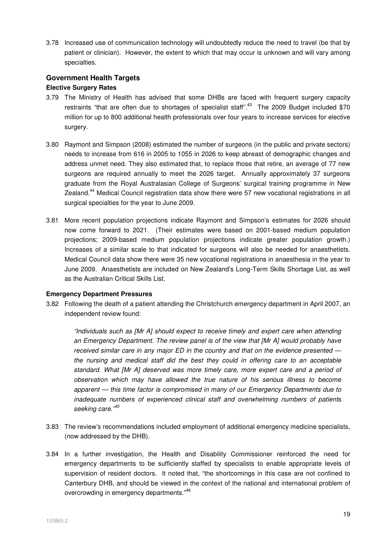3.78 Increased use of communication technology will undoubtedly reduce the need to travel (be that by patient or clinician). However, the extent to which that may occur is unknown and will vary among specialties.

### **Government Health Targets**

#### **Elective Surgery Rates**

- 3.79 The Ministry of Health has advised that some DHBs are faced with frequent surgery capacity restraints "that are often due to shortages of specialist staff".<sup>43</sup> The 2009 Budget included \$70 million for up to 800 additional health professionals over four years to increase services for elective surgery.
- 3.80 Raymont and Simpson (2008) estimated the number of surgeons (in the public and private sectors) needs to increase from 616 in 2005 to 1055 in 2026 to keep abreast of demographic changes and address unmet need. They also estimated that, to replace those that retire, an average of 77 new surgeons are required annually to meet the 2026 target. Annually approximately 37 surgeons graduate from the Royal Australasian College of Surgeons' surgical training programme in New Zealand.<sup>44</sup> Medical Council registration data show there were 57 new vocational registrations in all surgical specialties for the year to June 2009.
- 3.81 More recent population projections indicate Raymont and Simpson's estimates for 2026 should now come forward to 2021. (Their estimates were based on 2001-based medium population projections; 2009-based medium population projections indicate greater population growth.) Increases of a similar scale to that indicated for surgeons will also be needed for anaesthetists. Medical Council data show there were 35 new vocational registrations in anaesthesia in the year to June 2009. Anaesthetists are included on New Zealand's Long-Term Skills Shortage List, as well as the Australian Critical Skills List.

#### **Emergency Department Pressures**

3.82 Following the death of a patient attending the Christchurch emergency department in April 2007, an independent review found:

"Individuals such as [Mr A] should expect to receive timely and expert care when attending an Emergency Department. The review panel is of the view that [Mr A] would probably have received similar care in any major ED in the country and that on the evidence presented the nursing and medical staff did the best they could in offering care to an acceptable standard. What [Mr A] deserved was more timely care, more expert care and a period of observation which may have allowed the true nature of his serious illness to become apparent — this time factor is compromised in many of our Emergency Departments due to inadequate numbers of experienced clinical staff and overwhelming numbers of patients seeking care.<sup>"45</sup>

- 3.83 The review's recommendations included employment of additional emergency medicine specialists, (now addressed by the DHB).
- 3.84 In a further investigation, the Health and Disability Commissioner reinforced the need for emergency departments to be sufficiently staffed by specialists to enable appropriate levels of supervision of resident doctors. It noted that, "the shortcomings in this case are not confined to Canterbury DHB, and should be viewed in the context of the national and international problem of overcrowding in emergency departments."<sup>46</sup>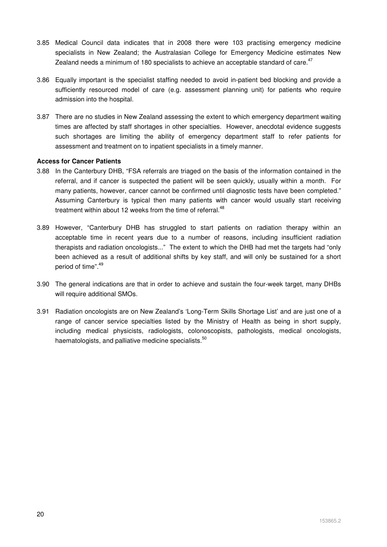- 3.85 Medical Council data indicates that in 2008 there were 103 practising emergency medicine specialists in New Zealand; the Australasian College for Emergency Medicine estimates New Zealand needs a minimum of 180 specialists to achieve an acceptable standard of care. $47$
- 3.86 Equally important is the specialist staffing needed to avoid in-patient bed blocking and provide a sufficiently resourced model of care (e.g. assessment planning unit) for patients who require admission into the hospital.
- 3.87 There are no studies in New Zealand assessing the extent to which emergency department waiting times are affected by staff shortages in other specialties. However, anecdotal evidence suggests such shortages are limiting the ability of emergency department staff to refer patients for assessment and treatment on to inpatient specialists in a timely manner.

#### **Access for Cancer Patients**

- 3.88 In the Canterbury DHB, "FSA referrals are triaged on the basis of the information contained in the referral, and if cancer is suspected the patient will be seen quickly, usually within a month. For many patients, however, cancer cannot be confirmed until diagnostic tests have been completed." Assuming Canterbury is typical then many patients with cancer would usually start receiving treatment within about 12 weeks from the time of referral.<sup>48</sup>
- 3.89 However, "Canterbury DHB has struggled to start patients on radiation therapy within an acceptable time in recent years due to a number of reasons, including insufficient radiation therapists and radiation oncologists..." The extent to which the DHB had met the targets had "only been achieved as a result of additional shifts by key staff, and will only be sustained for a short period of time".<sup>49</sup>
- 3.90 The general indications are that in order to achieve and sustain the four-week target, many DHBs will require additional SMOs.
- 3.91 Radiation oncologists are on New Zealand's 'Long-Term Skills Shortage List' and are just one of a range of cancer service specialties listed by the Ministry of Health as being in short supply, including medical physicists, radiologists, colonoscopists, pathologists, medical oncologists, haematologists, and palliative medicine specialists.<sup>50</sup>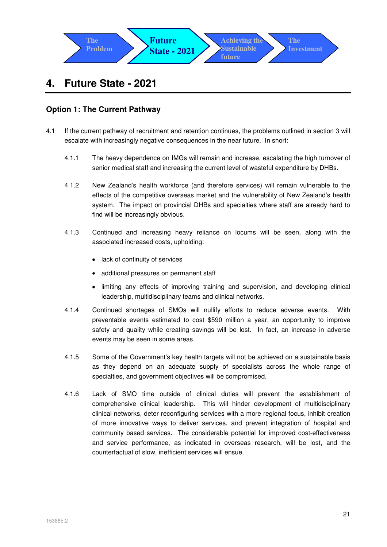

# **4. Future State - 2021**

# **Option 1: The Current Pathway**

- 4.1 If the current pathway of recruitment and retention continues, the problems outlined in section 3 will escalate with increasingly negative consequences in the near future. In short:
	- 4.1.1 The heavy dependence on IMGs will remain and increase, escalating the high turnover of senior medical staff and increasing the current level of wasteful expenditure by DHBs.
	- 4.1.2 New Zealand's health workforce (and therefore services) will remain vulnerable to the effects of the competitive overseas market and the vulnerability of New Zealand's health system. The impact on provincial DHBs and specialties where staff are already hard to find will be increasingly obvious.
	- 4.1.3 Continued and increasing heavy reliance on locums will be seen, along with the associated increased costs, upholding:
		- lack of continuity of services
		- additional pressures on permanent staff
		- limiting any effects of improving training and supervision, and developing clinical leadership, multidisciplinary teams and clinical networks.
	- 4.1.4 Continued shortages of SMOs will nullify efforts to reduce adverse events. With preventable events estimated to cost \$590 million a year, an opportunity to improve safety and quality while creating savings will be lost. In fact, an increase in adverse events may be seen in some areas.
	- 4.1.5 Some of the Government's key health targets will not be achieved on a sustainable basis as they depend on an adequate supply of specialists across the whole range of specialties, and government objectives will be compromised.
	- 4.1.6 Lack of SMO time outside of clinical duties will prevent the establishment of comprehensive clinical leadership. This will hinder development of multidisciplinary clinical networks, deter reconfiguring services with a more regional focus, inhibit creation of more innovative ways to deliver services, and prevent integration of hospital and community based services. The considerable potential for improved cost-effectiveness and service performance, as indicated in overseas research, will be lost, and the counterfactual of slow, inefficient services will ensue.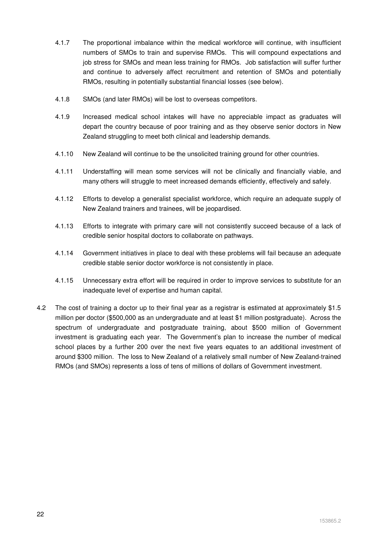- 4.1.7 The proportional imbalance within the medical workforce will continue, with insufficient numbers of SMOs to train and supervise RMOs. This will compound expectations and job stress for SMOs and mean less training for RMOs. Job satisfaction will suffer further and continue to adversely affect recruitment and retention of SMOs and potentially RMOs, resulting in potentially substantial financial losses (see below).
- 4.1.8 SMOs (and later RMOs) will be lost to overseas competitors.
- 4.1.9 Increased medical school intakes will have no appreciable impact as graduates will depart the country because of poor training and as they observe senior doctors in New Zealand struggling to meet both clinical and leadership demands.
- 4.1.10 New Zealand will continue to be the unsolicited training ground for other countries.
- 4.1.11 Understaffing will mean some services will not be clinically and financially viable, and many others will struggle to meet increased demands efficiently, effectively and safely.
- 4.1.12 Efforts to develop a generalist specialist workforce, which require an adequate supply of New Zealand trainers and trainees, will be jeopardised.
- 4.1.13 Efforts to integrate with primary care will not consistently succeed because of a lack of credible senior hospital doctors to collaborate on pathways.
- 4.1.14 Government initiatives in place to deal with these problems will fail because an adequate credible stable senior doctor workforce is not consistently in place.
- 4.1.15 Unnecessary extra effort will be required in order to improve services to substitute for an inadequate level of expertise and human capital.
- 4.2 The cost of training a doctor up to their final year as a registrar is estimated at approximately \$1.5 million per doctor (\$500,000 as an undergraduate and at least \$1 million postgraduate). Across the spectrum of undergraduate and postgraduate training, about \$500 million of Government investment is graduating each year. The Government's plan to increase the number of medical school places by a further 200 over the next five years equates to an additional investment of around \$300 million. The loss to New Zealand of a relatively small number of New Zealand-trained RMOs (and SMOs) represents a loss of tens of millions of dollars of Government investment.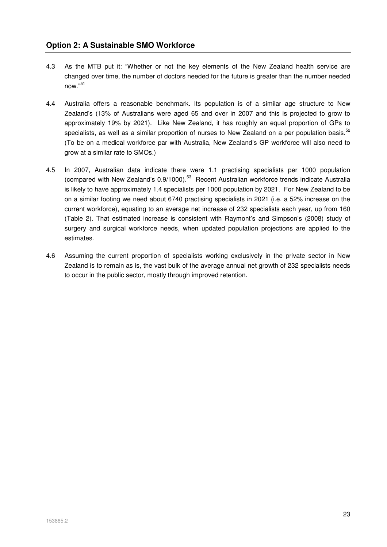- 4.3 As the MTB put it: "Whether or not the key elements of the New Zealand health service are changed over time, the number of doctors needed for the future is greater than the number needed now."<sup>51</sup>
- 4.4 Australia offers a reasonable benchmark. Its population is of a similar age structure to New Zealand's (13% of Australians were aged 65 and over in 2007 and this is projected to grow to approximately 19% by 2021). Like New Zealand, it has roughly an equal proportion of GPs to specialists, as well as a similar proportion of nurses to New Zealand on a per population basis.<sup>52</sup> (To be on a medical workforce par with Australia, New Zealand's GP workforce will also need to grow at a similar rate to SMOs.)
- 4.5 In 2007, Australian data indicate there were 1.1 practising specialists per 1000 population (compared with New Zealand's 0.9/1000).<sup>53</sup> Recent Australian workforce trends indicate Australia is likely to have approximately 1.4 specialists per 1000 population by 2021. For New Zealand to be on a similar footing we need about 6740 practising specialists in 2021 (i.e. a 52% increase on the current workforce), equating to an average net increase of 232 specialists each year, up from 160 (Table 2). That estimated increase is consistent with Raymont's and Simpson's (2008) study of surgery and surgical workforce needs, when updated population projections are applied to the estimates.
- 4.6 Assuming the current proportion of specialists working exclusively in the private sector in New Zealand is to remain as is, the vast bulk of the average annual net growth of 232 specialists needs to occur in the public sector, mostly through improved retention.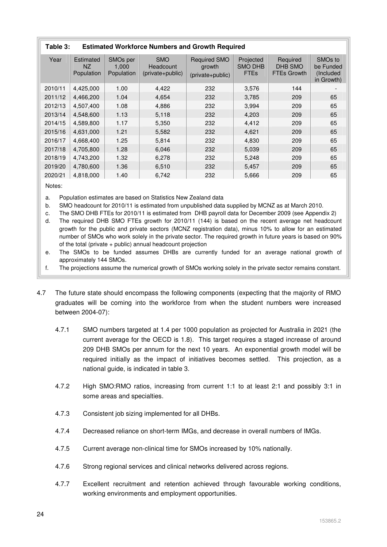| Table 3: | <b>Estimated Workforce Numbers and Growth Required</b> |                                             |                                             |                                                   |                                            |                                           |                                                              |  |  |  |  |
|----------|--------------------------------------------------------|---------------------------------------------|---------------------------------------------|---------------------------------------------------|--------------------------------------------|-------------------------------------------|--------------------------------------------------------------|--|--|--|--|
| Year     | Estimated<br>NZ.<br>Population                         | SMO <sub>s</sub> per<br>1.000<br>Population | <b>SMO</b><br>Headcount<br>(private+public) | <b>Required SMO</b><br>growth<br>(private+public) | Projected<br><b>SMO DHB</b><br><b>FTEs</b> | Required<br>DHB SMO<br><b>FTEs Growth</b> | SMO <sub>s</sub> to<br>be Funded<br>(Included)<br>in Growth) |  |  |  |  |
| 2010/11  | 4,425,000                                              | 1.00                                        | 4,422                                       | 232                                               | 3,576                                      | 144                                       |                                                              |  |  |  |  |
| 2011/12  | 4.466.200                                              | 1.04                                        | 4,654                                       | 232                                               | 3,785                                      | 209                                       | 65                                                           |  |  |  |  |
| 2012/13  | 4,507,400                                              | 1.08                                        | 4,886                                       | 232                                               | 3,994                                      | 209                                       | 65                                                           |  |  |  |  |
| 2013/14  | 4,548,600                                              | 1.13                                        | 5,118                                       | 232                                               | 4,203                                      | 209                                       | 65                                                           |  |  |  |  |
| 2014/15  | 4,589,800                                              | 1.17                                        | 5,350                                       | 232                                               | 4,412                                      | 209                                       | 65                                                           |  |  |  |  |
| 2015/16  | 4.631.000                                              | 1.21                                        | 5,582                                       | 232                                               | 4,621                                      | 209                                       | 65                                                           |  |  |  |  |
| 2016/17  | 4,668,400                                              | 1.25                                        | 5,814                                       | 232                                               | 4,830                                      | 209                                       | 65                                                           |  |  |  |  |
| 2017/18  | 4,705,800                                              | 1.28                                        | 6,046                                       | 232                                               | 5,039                                      | 209                                       | 65                                                           |  |  |  |  |
| 2018/19  | 4,743,200                                              | 1.32                                        | 6,278                                       | 232                                               | 5,248                                      | 209                                       | 65                                                           |  |  |  |  |
| 2019/20  | 4,780,600                                              | 1.36                                        | 6,510                                       | 232                                               | 5,457                                      | 209                                       | 65                                                           |  |  |  |  |
| 2020/21  | 4,818,000                                              | 1.40                                        | 6,742                                       | 232                                               | 5,666                                      | 209                                       | 65                                                           |  |  |  |  |

Notes:

a. Population estimates are based on Statistics New Zealand data

b. SMO headcount for 2010/11 is estimated from unpublished data supplied by MCNZ as at March 2010.

c. The SMO DHB FTEs for 2010/11 is estimated from DHB payroll data for December 2009 (see Appendix 2)

d. The required DHB SMO FTEs growth for 2010/11 (144) is based on the recent average net headcount growth for the public and private sectors (MCNZ registration data), minus 10% to allow for an estimated number of SMOs who work solely in the private sector. The required growth in future years is based on 90% of the total (private + public) annual headcount projection

e. The SMOs to be funded assumes DHBs are currently funded for an average national growth of approximately 144 SMOs.

f. The projections assume the numerical growth of SMOs working solely in the private sector remains constant.

- 4.7 The future state should encompass the following components (expecting that the majority of RMO graduates will be coming into the workforce from when the student numbers were increased between 2004-07):
	- 4.7.1 SMO numbers targeted at 1.4 per 1000 population as projected for Australia in 2021 (the current average for the OECD is 1.8). This target requires a staged increase of around 209 DHB SMOs per annum for the next 10 years. An exponential growth model will be required initially as the impact of initiatives becomes settled. This projection, as a national guide, is indicated in table 3.
	- 4.7.2 High SMO:RMO ratios, increasing from current 1:1 to at least 2:1 and possibly 3:1 in some areas and specialties.
	- 4.7.3 Consistent job sizing implemented for all DHBs.
	- 4.7.4 Decreased reliance on short-term IMGs, and decrease in overall numbers of IMGs.
	- 4.7.5 Current average non-clinical time for SMOs increased by 10% nationally.
	- 4.7.6 Strong regional services and clinical networks delivered across regions.
	- 4.7.7 Excellent recruitment and retention achieved through favourable working conditions, working environments and employment opportunities.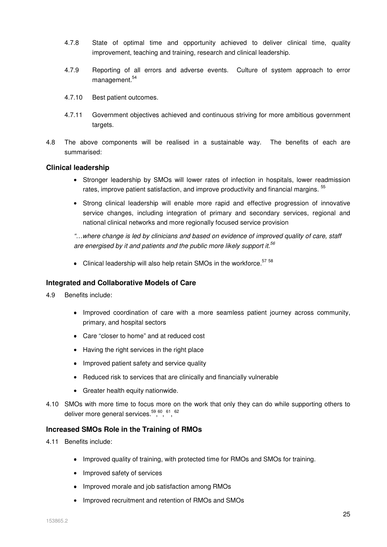- 4.7.8 State of optimal time and opportunity achieved to deliver clinical time, quality improvement, teaching and training, research and clinical leadership.
- 4.7.9 Reporting of all errors and adverse events. Culture of system approach to error management.<sup>54</sup>
- 4.7.10 Best patient outcomes.
- 4.7.11 Government objectives achieved and continuous striving for more ambitious government targets.
- 4.8 The above components will be realised in a sustainable way. The benefits of each are summarised:

#### **Clinical leadership**

- Stronger leadership by SMOs will lower rates of infection in hospitals, lower readmission rates, improve patient satisfaction, and improve productivity and financial margins. <sup>55</sup>
- Strong clinical leadership will enable more rapid and effective progression of innovative service changes, including integration of primary and secondary services, regional and national clinical networks and more regionally focused service provision

"…where change is led by clinicians and based on evidence of improved quality of care, staff are energised by it and patients and the public more likely support it.<sup>56</sup>

• Clinical leadership will also help retain SMOs in the workforce.<sup>57 58</sup>

#### **Integrated and Collaborative Models of Care**

- 4.9 Benefits include:
	- Improved coordination of care with a more seamless patient journey across community, primary, and hospital sectors
	- Care "closer to home" and at reduced cost
	- Having the right services in the right place
	- Improved patient safety and service quality
	- Reduced risk to services that are clinically and financially vulnerable
	- Greater health equity nationwide.
- 4.10 SMOs with more time to focus more on the work that only they can do while supporting others to deliver more general services.<sup>59,60</sup>, <sup>61</sup>, <sup>62</sup>

#### **Increased SMOs Role in the Training of RMOs**

- 4.11 Benefits include:
	- Improved quality of training, with protected time for RMOs and SMOs for training.
	- Improved safety of services
	- Improved morale and job satisfaction among RMOs
	- Improved recruitment and retention of RMOs and SMOs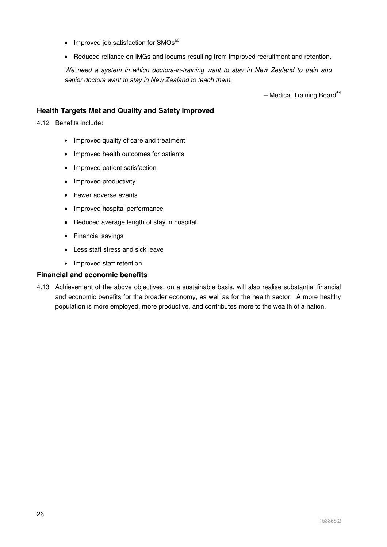- $\bullet$  Improved job satisfaction for SMOs $^{63}$
- Reduced reliance on IMGs and locums resulting from improved recruitment and retention.

We need a system in which doctors-in-training want to stay in New Zealand to train and senior doctors want to stay in New Zealand to teach them.

 $-$  Medical Training Board $64$ 

# **Health Targets Met and Quality and Safety Improved**

4.12 Benefits include:

- Improved quality of care and treatment
- Improved health outcomes for patients
- Improved patient satisfaction
- Improved productivity
- Fewer adverse events
- Improved hospital performance
- Reduced average length of stay in hospital
- Financial savings
- Less staff stress and sick leave
- Improved staff retention

#### **Financial and economic benefits**

4.13 Achievement of the above objectives, on a sustainable basis, will also realise substantial financial and economic benefits for the broader economy, as well as for the health sector. A more healthy population is more employed, more productive, and contributes more to the wealth of a nation.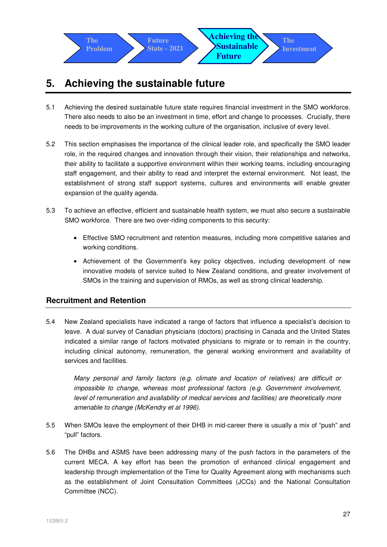

# **5. Achieving the sustainable future**

- 5.1 Achieving the desired sustainable future state requires financial investment in the SMO workforce. There also needs to also be an investment in time, effort and change to processes. Crucially, there needs to be improvements in the working culture of the organisation, inclusive of every level.
- 5.2 This section emphasises the importance of the clinical leader role, and specifically the SMO leader role, in the required changes and innovation through their vision, their relationships and networks, their ability to facilitate a supportive environment within their working teams, including encouraging staff engagement, and their ability to read and interpret the external environment. Not least, the establishment of strong staff support systems, cultures and environments will enable greater expansion of the quality agenda.
- 5.3 To achieve an effective, efficient and sustainable health system, we must also secure a sustainable SMO workforce. There are two over-riding components to this security:
	- Effective SMO recruitment and retention measures, including more competitive salaries and working conditions.
	- Achievement of the Government's key policy objectives, including development of new innovative models of service suited to New Zealand conditions, and greater involvement of SMOs in the training and supervision of RMOs, as well as strong clinical leadership.

# **Recruitment and Retention**

5.4 New Zealand specialists have indicated a range of factors that influence a specialist's decision to leave. A dual survey of Canadian physicians (doctors) practising in Canada and the United States indicated a similar range of factors motivated physicians to migrate or to remain in the country, including clinical autonomy, remuneration, the general working environment and availability of services and facilities.

Many personal and family factors (e.g. climate and location of relatives) are difficult or impossible to change, whereas most professional factors (e.g. Government involvement, level of remuneration and availability of medical services and facilities) are theoretically more amenable to change (McKendry et al 1996).

- 5.5 When SMOs leave the employment of their DHB in mid-career there is usually a mix of "push" and "pull" factors.
- 5.6 The DHBs and ASMS have been addressing many of the push factors in the parameters of the current MECA. A key effort has been the promotion of enhanced clinical engagement and leadership through implementation of the Time for Quality Agreement along with mechanisms such as the establishment of Joint Consultation Committees (JCCs) and the National Consultation Committee (NCC).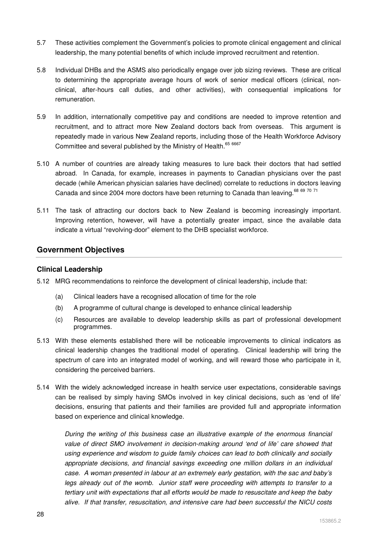- 5.7 These activities complement the Government's policies to promote clinical engagement and clinical leadership, the many potential benefits of which include improved recruitment and retention.
- 5.8 Individual DHBs and the ASMS also periodically engage over job sizing reviews. These are critical to determining the appropriate average hours of work of senior medical officers (clinical, nonclinical, after-hours call duties, and other activities), with consequential implications for remuneration.
- 5.9 In addition, internationally competitive pay and conditions are needed to improve retention and recruitment, and to attract more New Zealand doctors back from overseas. This argument is repeatedly made in various New Zealand reports, including those of the Health Workforce Advisory Committee and several published by the Ministry of Health.<sup>65 6667</sup>
- 5.10 A number of countries are already taking measures to lure back their doctors that had settled abroad. In Canada, for example, increases in payments to Canadian physicians over the past decade (while American physician salaries have declined) correlate to reductions in doctors leaving Canada and since 2004 more doctors have been returning to Canada than leaving.<sup>68 69 70 71</sup>
- 5.11 The task of attracting our doctors back to New Zealand is becoming increasingly important. Improving retention, however, will have a potentially greater impact, since the available data indicate a virtual "revolving-door" element to the DHB specialist workforce.

### **Government Objectives**

#### **Clinical Leadership**

- 5.12 MRG recommendations to reinforce the development of clinical leadership, include that:
	- (a) Clinical leaders have a recognised allocation of time for the role
	- (b) A programme of cultural change is developed to enhance clinical leadership
	- (c) Resources are available to develop leadership skills as part of professional development programmes.
- 5.13 With these elements established there will be noticeable improvements to clinical indicators as clinical leadership changes the traditional model of operating. Clinical leadership will bring the spectrum of care into an integrated model of working, and will reward those who participate in it, considering the perceived barriers.
- 5.14 With the widely acknowledged increase in health service user expectations, considerable savings can be realised by simply having SMOs involved in key clinical decisions, such as 'end of life' decisions, ensuring that patients and their families are provided full and appropriate information based on experience and clinical knowledge.

During the writing of this business case an illustrative example of the enormous financial value of direct SMO involvement in decision-making around 'end of life' care showed that using experience and wisdom to guide family choices can lead to both clinically and socially appropriate decisions, and financial savings exceeding one million dollars in an individual case. A woman presented in labour at an extremely early gestation, with the sac and baby's legs already out of the womb. Junior staff were proceeding with attempts to transfer to a tertiary unit with expectations that all efforts would be made to resuscitate and keep the baby alive. If that transfer, resuscitation, and intensive care had been successful the NICU costs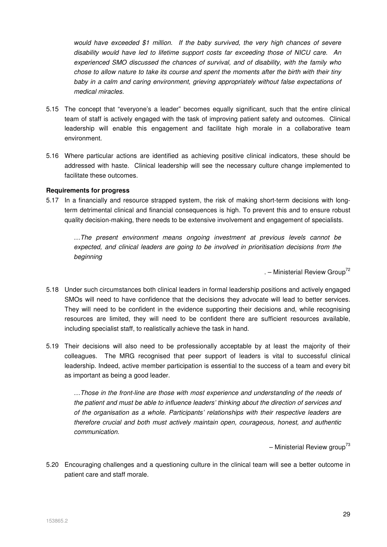would have exceeded \$1 million. If the baby survived, the very high chances of severe disability would have led to lifetime support costs far exceeding those of NICU care. An experienced SMO discussed the chances of survival, and of disability, with the family who chose to allow nature to take its course and spent the moments after the birth with their tiny baby in a calm and caring environment, grieving appropriately without false expectations of medical miracles.

- 5.15 The concept that "everyone's a leader" becomes equally significant, such that the entire clinical team of staff is actively engaged with the task of improving patient safety and outcomes. Clinical leadership will enable this engagement and facilitate high morale in a collaborative team environment.
- 5.16 Where particular actions are identified as achieving positive clinical indicators, these should be addressed with haste. Clinical leadership will see the necessary culture change implemented to facilitate these outcomes.

#### **Requirements for progress**

5.17 In a financially and resource strapped system, the risk of making short-term decisions with longterm detrimental clinical and financial consequences is high. To prevent this and to ensure robust quality decision-making, there needs to be extensive involvement and engagement of specialists.

…The present environment means ongoing investment at previous levels cannot be expected, and clinical leaders are going to be involved in prioritisation decisions from the beginning

. – Ministerial Review Group<sup>72</sup>

- 5.18 Under such circumstances both clinical leaders in formal leadership positions and actively engaged SMOs will need to have confidence that the decisions they advocate will lead to better services. They will need to be confident in the evidence supporting their decisions and, while recognising resources are limited, they will need to be confident there are sufficient resources available, including specialist staff, to realistically achieve the task in hand.
- 5.19 Their decisions will also need to be professionally acceptable by at least the majority of their colleagues. The MRG recognised that peer support of leaders is vital to successful clinical leadership. Indeed, active member participation is essential to the success of a team and every bit as important as being a good leader.

…Those in the front-line are those with most experience and understanding of the needs of the patient and must be able to influence leaders' thinking about the direction of services and of the organisation as a whole. Participants' relationships with their respective leaders are therefore crucial and both must actively maintain open, courageous, honest, and authentic communication.

– Ministerial Review group<sup>73</sup>

5.20 Encouraging challenges and a questioning culture in the clinical team will see a better outcome in patient care and staff morale.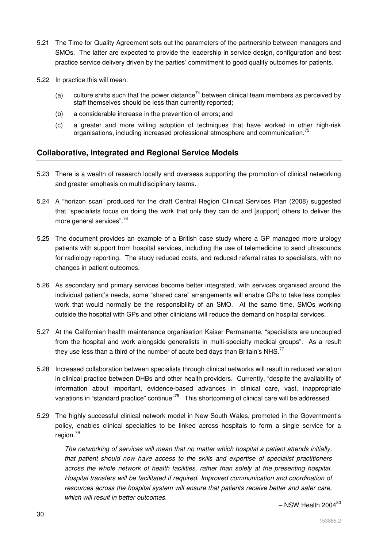- 5.21 The Time for Quality Agreement sets out the parameters of the partnership between managers and SMOs. The latter are expected to provide the leadership in service design, configuration and best practice service delivery driven by the parties' commitment to good quality outcomes for patients.
- 5.22 In practice this will mean:
	- (a) culture shifts such that the power distance<sup>74</sup> between clinical team members as perceived by staff themselves should be less than currently reported;
	- (b) a considerable increase in the prevention of errors; and
	- (c) a greater and more willing adoption of techniques that have worked in other high-risk organisations, including increased professional atmosphere and communication.<sup>75</sup>

# **Collaborative, Integrated and Regional Service Models**

- 5.23 There is a wealth of research locally and overseas supporting the promotion of clinical networking and greater emphasis on multidisciplinary teams.
- 5.24 A "horizon scan" produced for the draft Central Region Clinical Services Plan (2008) suggested that "specialists focus on doing the work that only they can do and [support] others to deliver the more general services".<sup>76</sup>
- 5.25 The document provides an example of a British case study where a GP managed more urology patients with support from hospital services, including the use of telemedicine to send ultrasounds for radiology reporting. The study reduced costs, and reduced referral rates to specialists, with no changes in patient outcomes.
- 5.26 As secondary and primary services become better integrated, with services organised around the individual patient's needs, some "shared care" arrangements will enable GPs to take less complex work that would normally be the responsibility of an SMO. At the same time, SMOs working outside the hospital with GPs and other clinicians will reduce the demand on hospital services.
- 5.27 At the Californian health maintenance organisation Kaiser Permanente, "specialists are uncoupled from the hospital and work alongside generalists in multi-specialty medical groups". As a result they use less than a third of the number of acute bed days than Britain's NHS.<sup>77</sup>
- 5.28 Increased collaboration between specialists through clinical networks will result in reduced variation in clinical practice between DHBs and other health providers. Currently, "despite the availability of information about important, evidence-based advances in clinical care, vast, inappropriate variations in "standard practice" continue"<sup>78</sup>. This shortcoming of clinical care will be addressed.
- 5.29 The highly successful clinical network model in New South Wales, promoted in the Government's policy, enables clinical specialties to be linked across hospitals to form a single service for a region.<sup>79</sup>

The networking of services will mean that no matter which hospital a patient attends initially, that patient should now have access to the skills and expertise of specialist practitioners across the whole network of health facilities, rather than solely at the presenting hospital. Hospital transfers will be facilitated if required. Improved communication and coordination of resources across the hospital system will ensure that patients receive better and safer care, which will result in better outcomes.

 $-$  NSW Health 2004 $80$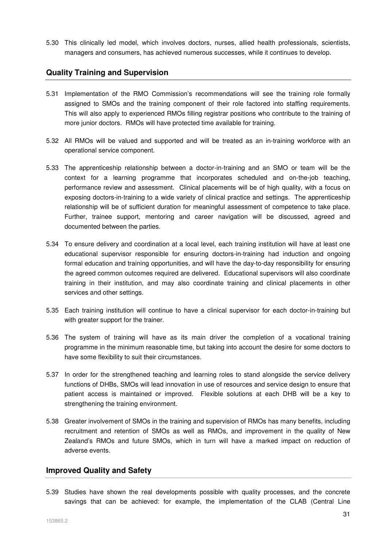5.30 This clinically led model, which involves doctors, nurses, allied health professionals, scientists, managers and consumers, has achieved numerous successes, while it continues to develop.

# **Quality Training and Supervision**

- 5.31 Implementation of the RMO Commission's recommendations will see the training role formally assigned to SMOs and the training component of their role factored into staffing requirements. This will also apply to experienced RMOs filling registrar positions who contribute to the training of more junior doctors. RMOs will have protected time available for training.
- 5.32 All RMOs will be valued and supported and will be treated as an in-training workforce with an operational service component.
- 5.33 The apprenticeship relationship between a doctor-in-training and an SMO or team will be the context for a learning programme that incorporates scheduled and on-the-job teaching, performance review and assessment. Clinical placements will be of high quality, with a focus on exposing doctors-in-training to a wide variety of clinical practice and settings. The apprenticeship relationship will be of sufficient duration for meaningful assessment of competence to take place. Further, trainee support, mentoring and career navigation will be discussed, agreed and documented between the parties.
- 5.34 To ensure delivery and coordination at a local level, each training institution will have at least one educational supervisor responsible for ensuring doctors-in-training had induction and ongoing formal education and training opportunities, and will have the day-to-day responsibility for ensuring the agreed common outcomes required are delivered. Educational supervisors will also coordinate training in their institution, and may also coordinate training and clinical placements in other services and other settings.
- 5.35 Each training institution will continue to have a clinical supervisor for each doctor-in-training but with greater support for the trainer.
- 5.36 The system of training will have as its main driver the completion of a vocational training programme in the minimum reasonable time, but taking into account the desire for some doctors to have some flexibility to suit their circumstances.
- 5.37 In order for the strengthened teaching and learning roles to stand alongside the service delivery functions of DHBs, SMOs will lead innovation in use of resources and service design to ensure that patient access is maintained or improved. Flexible solutions at each DHB will be a key to strengthening the training environment.
- 5.38 Greater involvement of SMOs in the training and supervision of RMOs has many benefits, including recruitment and retention of SMOs as well as RMOs, and improvement in the quality of New Zealand's RMOs and future SMOs, which in turn will have a marked impact on reduction of adverse events.

### **Improved Quality and Safety**

5.39 Studies have shown the real developments possible with quality processes, and the concrete savings that can be achieved: for example, the implementation of the CLAB (Central Line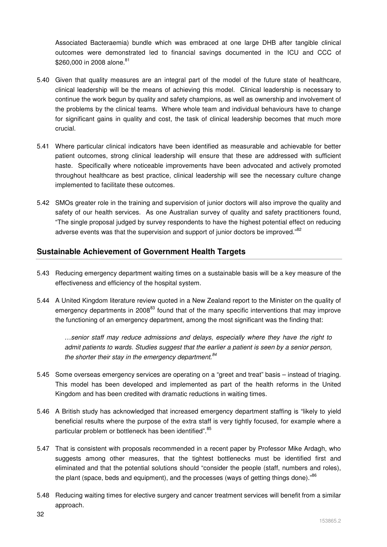Associated Bacteraemia) bundle which was embraced at one large DHB after tangible clinical outcomes were demonstrated led to financial savings documented in the ICU and CCC of \$260,000 in 2008 alone.<sup>81</sup>

- 5.40 Given that quality measures are an integral part of the model of the future state of healthcare, clinical leadership will be the means of achieving this model. Clinical leadership is necessary to continue the work begun by quality and safety champions, as well as ownership and involvement of the problems by the clinical teams. Where whole team and individual behaviours have to change for significant gains in quality and cost, the task of clinical leadership becomes that much more crucial.
- 5.41 Where particular clinical indicators have been identified as measurable and achievable for better patient outcomes, strong clinical leadership will ensure that these are addressed with sufficient haste. Specifically where noticeable improvements have been advocated and actively promoted throughout healthcare as best practice, clinical leadership will see the necessary culture change implemented to facilitate these outcomes.
- 5.42 SMOs greater role in the training and supervision of junior doctors will also improve the quality and safety of our health services. As one Australian survey of quality and safety practitioners found, "The single proposal judged by survey respondents to have the highest potential effect on reducing adverse events was that the supervision and support of junior doctors be improved."<sup>82</sup>

# **Sustainable Achievement of Government Health Targets**

- 5.43 Reducing emergency department waiting times on a sustainable basis will be a key measure of the effectiveness and efficiency of the hospital system.
- 5.44 A United Kingdom literature review quoted in a New Zealand report to the Minister on the quality of emergency departments in 2008<sup>83</sup> found that of the many specific interventions that may improve the functioning of an emergency department, among the most significant was the finding that:

…senior staff may reduce admissions and delays, especially where they have the right to admit patients to wards. Studies suggest that the earlier a patient is seen by a senior person, the shorter their stay in the emergency department. $84$ 

- 5.45 Some overseas emergency services are operating on a "greet and treat" basis instead of triaging. This model has been developed and implemented as part of the health reforms in the United Kingdom and has been credited with dramatic reductions in waiting times.
- 5.46 A British study has acknowledged that increased emergency department staffing is "likely to yield beneficial results where the purpose of the extra staff is very tightly focused, for example where a particular problem or bottleneck has been identified".<sup>85</sup>
- 5.47 That is consistent with proposals recommended in a recent paper by Professor Mike Ardagh, who suggests among other measures, that the tightest bottlenecks must be identified first and eliminated and that the potential solutions should "consider the people (staff, numbers and roles), the plant (space, beds and equipment), and the processes (ways of getting things done)."<sup>86</sup>
- 5.48 Reducing waiting times for elective surgery and cancer treatment services will benefit from a similar approach.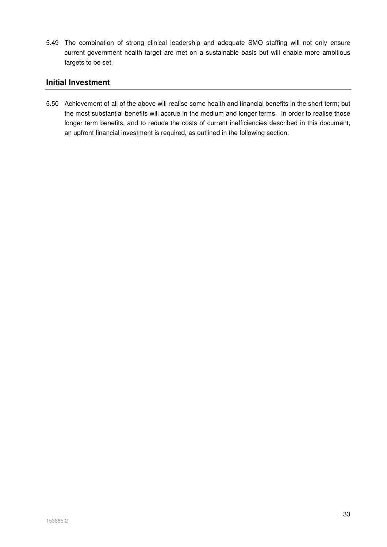5.49 The combination of strong clinical leadership and adequate SMO staffing will not only ensure current government health target are met on a sustainable basis but will enable more ambitious targets to be set.

# **Initial Investment**

5.50 Achievement of all of the above will realise some health and financial benefits in the short term; but the most substantial benefits will accrue in the medium and longer terms. In order to realise those longer term benefits, and to reduce the costs of current inefficiencies described in this document, an upfront financial investment is required, as outlined in the following section.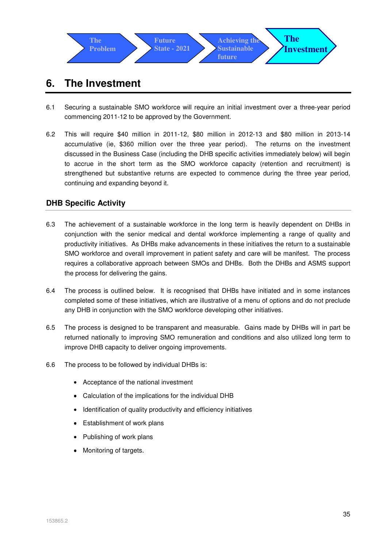

# **6. The Investment**

- 6.1 Securing a sustainable SMO workforce will require an initial investment over a three-year period commencing 2011-12 to be approved by the Government.
- 6.2 This will require \$40 million in 2011-12, \$80 million in 2012-13 and \$80 million in 2013-14 accumulative (ie, \$360 million over the three year period). The returns on the investment discussed in the Business Case (including the DHB specific activities immediately below) will begin to accrue in the short term as the SMO workforce capacity (retention and recruitment) is strengthened but substantive returns are expected to commence during the three year period, continuing and expanding beyond it.

# **DHB Specific Activity**

- 6.3 The achievement of a sustainable workforce in the long term is heavily dependent on DHBs in conjunction with the senior medical and dental workforce implementing a range of quality and productivity initiatives. As DHBs make advancements in these initiatives the return to a sustainable SMO workforce and overall improvement in patient safety and care will be manifest. The process requires a collaborative approach between SMOs and DHBs. Both the DHBs and ASMS support the process for delivering the gains.
- 6.4 The process is outlined below. It is recognised that DHBs have initiated and in some instances completed some of these initiatives, which are illustrative of a menu of options and do not preclude any DHB in conjunction with the SMO workforce developing other initiatives.
- 6.5 The process is designed to be transparent and measurable. Gains made by DHBs will in part be returned nationally to improving SMO remuneration and conditions and also utilized long term to improve DHB capacity to deliver ongoing improvements.
- 6.6 The process to be followed by individual DHBs is:
	- Acceptance of the national investment
	- Calculation of the implications for the individual DHB
	- Identification of quality productivity and efficiency initiatives
	- Establishment of work plans
	- Publishing of work plans
	- Monitoring of targets.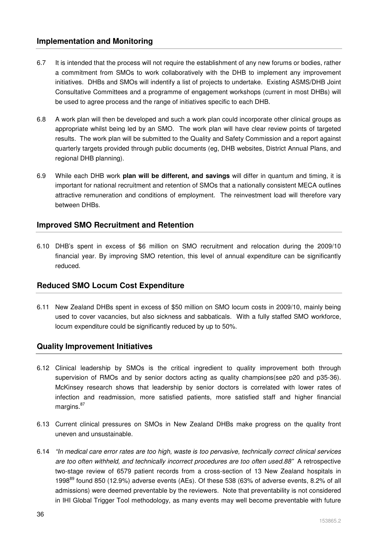# **Implementation and Monitoring**

- 6.7 It is intended that the process will not require the establishment of any new forums or bodies, rather a commitment from SMOs to work collaboratively with the DHB to implement any improvement initiatives. DHBs and SMOs will indentify a list of projects to undertake. Existing ASMS/DHB Joint Consultative Committees and a programme of engagement workshops (current in most DHBs) will be used to agree process and the range of initiatives specific to each DHB.
- 6.8 A work plan will then be developed and such a work plan could incorporate other clinical groups as appropriate whilst being led by an SMO. The work plan will have clear review points of targeted results. The work plan will be submitted to the Quality and Safety Commission and a report against quarterly targets provided through public documents (eg, DHB websites, District Annual Plans, and regional DHB planning).
- 6.9 While each DHB work **plan will be different, and savings** will differ in quantum and timing, it is important for national recruitment and retention of SMOs that a nationally consistent MECA outlines attractive remuneration and conditions of employment. The reinvestment load will therefore vary between DHBs.

# **Improved SMO Recruitment and Retention**

6.10 DHB's spent in excess of \$6 million on SMO recruitment and relocation during the 2009/10 financial year. By improving SMO retention, this level of annual expenditure can be significantly reduced.

### **Reduced SMO Locum Cost Expenditure**

6.11 New Zealand DHBs spent in excess of \$50 million on SMO locum costs in 2009/10, mainly being used to cover vacancies, but also sickness and sabbaticals. With a fully staffed SMO workforce, locum expenditure could be significantly reduced by up to 50%.

### **Quality Improvement Initiatives**

- 6.12 Clinical leadership by SMOs is the critical ingredient to quality improvement both through supervision of RMOs and by senior doctors acting as quality champions(see p20 and p35-36). McKinsey research shows that leadership by senior doctors is correlated with lower rates of infection and readmission, more satisfied patients, more satisfied staff and higher financial margins.<sup>87</sup>
- 6.13 Current clinical pressures on SMOs in New Zealand DHBs make progress on the quality front uneven and unsustainable.
- 6.14 "In medical care error rates are too high, waste is too pervasive, technically correct clinical services are too often withheld, and technically incorrect procedures are too often used.88" A retrospective two-stage review of 6579 patient records from a cross-section of 13 New Zealand hospitals in 1998 $89$  found 850 (12.9%) adverse events (AEs). Of these 538 (63% of adverse events, 8.2% of all admissions) were deemed preventable by the reviewers. Note that preventability is not considered in IHI Global Trigger Tool methodology, as many events may well become preventable with future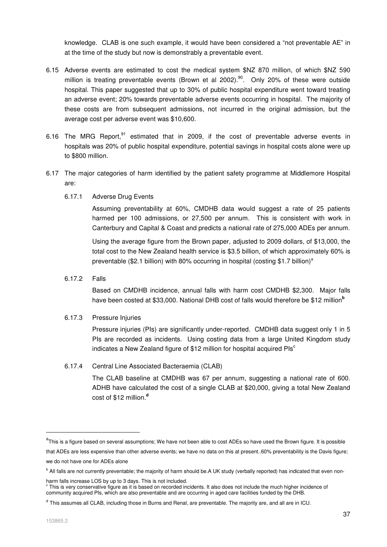knowledge. CLAB is one such example, it would have been considered a "not preventable AE" in at the time of the study but now is demonstrably a preventable event.

- 6.15 Adverse events are estimated to cost the medical system \$NZ 870 million, of which \$NZ 590 million is treating preventable events (Brown et al 2002). $90$ . Only 20% of these were outside hospital. This paper suggested that up to 30% of public hospital expenditure went toward treating an adverse event; 20% towards preventable adverse events occurring in hospital. The majority of these costs are from subsequent admissions, not incurred in the original admission, but the average cost per adverse event was \$10,600.
- 6.16 The MRG Report,  $91$  estimated that in 2009, if the cost of preventable adverse events in hospitals was 20% of public hospital expenditure, potential savings in hospital costs alone were up to \$800 million.
- 6.17 The major categories of harm identified by the patient safety programme at Middlemore Hospital are:
	- 6.17.1 Adverse Drug Events

Assuming preventability at 60%, CMDHB data would suggest a rate of 25 patients harmed per 100 admissions, or 27,500 per annum. This is consistent with work in Canterbury and Capital & Coast and predicts a national rate of 275,000 ADEs per annum.

Using the average figure from the Brown paper, adjusted to 2009 dollars, of \$13,000, the total cost to the New Zealand health service is \$3.5 billion, of which approximately 60% is preventable (\$2.1 billion) with 80% occurring in hospital (costing \$1.7 billion)<sup>a</sup>

6.17.2 Falls

Based on CMDHB incidence, annual falls with harm cost CMDHB \$2,300. Major falls have been costed at \$33,000. National DHB cost of falls would therefore be \$12 million**<sup>b</sup>**

6.17.3 Pressure Injuries

Pressure injuries (PIs) are significantly under-reported. CMDHB data suggest only 1 in 5 PIs are recorded as incidents. Using costing data from a large United Kingdom study indicates a New Zealand figure of  $$12$  million for hospital acquired PIs<sup>c</sup>

### 6.17.4 Central Line Associated Bacteraemia (CLAB)

The CLAB baseline at CMDHB was 67 per annum, suggesting a national rate of 600. ADHB have calculated the cost of a single CLAB at \$20,000, giving a total New Zealand cost of \$12 million.**<sup>d</sup>**

-

<sup>&</sup>lt;sup>a</sup>This is a figure based on several assumptions; We have not been able to cost ADEs so have used the Brown figure. It is possible that ADEs are less expensive than other adverse events; we have no data on this at present..60% preventability is the Davis figure; we do not have one for ADEs alone

**b** All falls are not currently preventable; the majority of harm should be.A UK study (verbally reported) has indicated that even non-

harm falls increase LOS by up to 3 days. This is not included. c This is very conservative figure as it is based on recorded incidents. It also does not include the much higher incidence of community acquired PIs, which are also preventable and are occurring in aged care facilities funded by the DHB.

<sup>&</sup>lt;sup>d</sup> This assumes all CLAB, including those in Burns and Renal, are preventable. The majority are, and all are in ICU.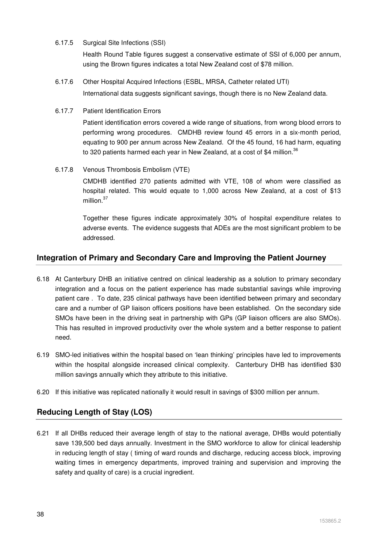6.17.5 Surgical Site Infections (SSI)

Health Round Table figures suggest a conservative estimate of SSI of 6,000 per annum, using the Brown figures indicates a total New Zealand cost of \$78 million.

- 6.17.6 Other Hospital Acquired Infections (ESBL, MRSA, Catheter related UTI) International data suggests significant savings, though there is no New Zealand data.
- 6.17.7 Patient Identification Errors

Patient identification errors covered a wide range of situations, from wrong blood errors to performing wrong procedures. CMDHB review found 45 errors in a six-month period, equating to 900 per annum across New Zealand. Of the 45 found, 16 had harm, equating to 320 patients harmed each year in New Zealand, at a cost of \$4 million.<sup>36</sup>

6.17.8 Venous Thrombosis Embolism (VTE)

CMDHB identified 270 patients admitted with VTE, 108 of whom were classified as hospital related. This would equate to 1,000 across New Zealand, at a cost of \$13 million.<sup>37</sup>

Together these figures indicate approximately 30% of hospital expenditure relates to adverse events. The evidence suggests that ADEs are the most significant problem to be addressed.

# **Integration of Primary and Secondary Care and Improving the Patient Journey**

- 6.18 At Canterbury DHB an initiative centred on clinical leadership as a solution to primary secondary integration and a focus on the patient experience has made substantial savings while improving patient care . To date, 235 clinical pathways have been identified between primary and secondary care and a number of GP liaison officers positions have been established. On the secondary side SMOs have been in the driving seat in partnership with GPs (GP liaison officers are also SMOs). This has resulted in improved productivity over the whole system and a better response to patient need.
- 6.19 SMO-led initiatives within the hospital based on 'lean thinking' principles have led to improvements within the hospital alongside increased clinical complexity. Canterbury DHB has identified \$30 million savings annually which they attribute to this initiative.
- 6.20 If this initiative was replicated nationally it would result in savings of \$300 million per annum.

# **Reducing Length of Stay (LOS)**

6.21 If all DHBs reduced their average length of stay to the national average, DHBs would potentially save 139,500 bed days annually. Investment in the SMO workforce to allow for clinical leadership in reducing length of stay ( timing of ward rounds and discharge, reducing access block, improving waiting times in emergency departments, improved training and supervision and improving the safety and quality of care) is a crucial ingredient.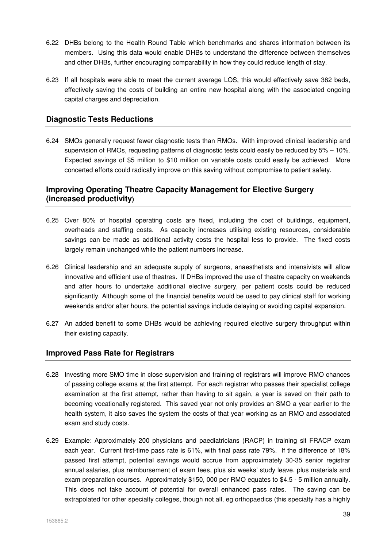- 6.22 DHBs belong to the Health Round Table which benchmarks and shares information between its members. Using this data would enable DHBs to understand the difference between themselves and other DHBs, further encouraging comparability in how they could reduce length of stay.
- 6.23 If all hospitals were able to meet the current average LOS, this would effectively save 382 beds, effectively saving the costs of building an entire new hospital along with the associated ongoing capital charges and depreciation.

# **Diagnostic Tests Reductions**

6.24 SMOs generally request fewer diagnostic tests than RMOs. With improved clinical leadership and supervision of RMOs, requesting patterns of diagnostic tests could easily be reduced by 5% – 10%. Expected savings of \$5 million to \$10 million on variable costs could easily be achieved. More concerted efforts could radically improve on this saving without compromise to patient safety.

# **Improving Operating Theatre Capacity Management for Elective Surgery (increased productivity)**

- 6.25 Over 80% of hospital operating costs are fixed, including the cost of buildings, equipment, overheads and staffing costs. As capacity increases utilising existing resources, considerable savings can be made as additional activity costs the hospital less to provide. The fixed costs largely remain unchanged while the patient numbers increase.
- 6.26 Clinical leadership and an adequate supply of surgeons, anaesthetists and intensivists will allow innovative and efficient use of theatres. If DHBs improved the use of theatre capacity on weekends and after hours to undertake additional elective surgery, per patient costs could be reduced significantly. Although some of the financial benefits would be used to pay clinical staff for working weekends and/or after hours, the potential savings include delaying or avoiding capital expansion.
- 6.27 An added benefit to some DHBs would be achieving required elective surgery throughput within their existing capacity.

### **Improved Pass Rate for Registrars**

- 6.28 Investing more SMO time in close supervision and training of registrars will improve RMO chances of passing college exams at the first attempt. For each registrar who passes their specialist college examination at the first attempt, rather than having to sit again, a year is saved on their path to becoming vocationally registered. This saved year not only provides an SMO a year earlier to the health system, it also saves the system the costs of that year working as an RMO and associated exam and study costs.
- 6.29 Example: Approximately 200 physicians and paediatricians (RACP) in training sit FRACP exam each year. Current first-time pass rate is 61%, with final pass rate 79%. If the difference of 18% passed first attempt, potential savings would accrue from approximately 30-35 senior registrar annual salaries, plus reimbursement of exam fees, plus six weeks' study leave, plus materials and exam preparation courses. Approximately \$150, 000 per RMO equates to \$4.5 - 5 million annually. This does not take account of potential for overall enhanced pass rates. The saving can be extrapolated for other specialty colleges, though not all, eg orthopaedics (this specialty has a highly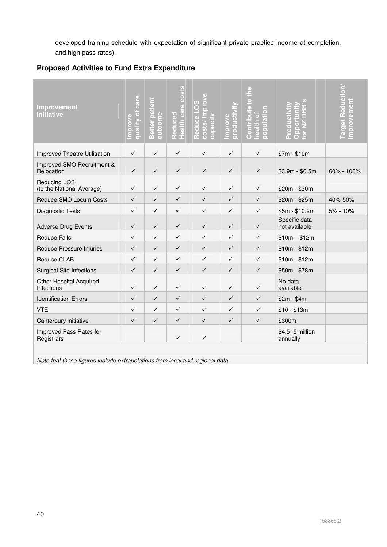developed training schedule with expectation of significant private practice income at completion, and high pass rates).

# **Proposed Activities to Fund Extra Expenditure**

| <b>Improvement</b><br><b>Initiative</b>      | quality of care<br>Improve | Better patient<br>outcome | Reduced<br>Health care costs | costs/Improve<br>Reduce LOS<br>capacity | productivi<br>Improve | Contribute to the<br>population<br>health of | m<br>$\Box$<br>ē<br>Produ<br>$\bar{8}$<br>$rac{\mathrm{d}}{\mathrm{d}}$ | <b>Target Reduction</b><br>Improvement |
|----------------------------------------------|----------------------------|---------------------------|------------------------------|-----------------------------------------|-----------------------|----------------------------------------------|-------------------------------------------------------------------------|----------------------------------------|
| <b>Improved Theatre Utilisation</b>          | $\checkmark$               | $\checkmark$              | $\checkmark$                 | $\checkmark$                            | $\checkmark$          | $\checkmark$                                 | $$7m - $10m$                                                            |                                        |
| Improved SMO Recruitment &<br>Relocation     | $\checkmark$               | $\checkmark$              | $\checkmark$                 | $\checkmark$                            | $\checkmark$          | $\checkmark$                                 | $$3.9m - $6.5m$                                                         | 60% - 100%                             |
| Reducing LOS<br>(to the National Average)    | $\checkmark$               | ✓                         | $\checkmark$                 | $\checkmark$                            | $\checkmark$          | $\checkmark$                                 | \$20m - \$30m                                                           |                                        |
| Reduce SMO Locum Costs                       | $\checkmark$               | $\checkmark$              | $\checkmark$                 | $\checkmark$                            | $\checkmark$          | $\checkmark$                                 | $$20m - $25m$                                                           | 40%-50%                                |
| Diagnostic Tests                             | $\checkmark$               | ✓                         | ✓                            | $\checkmark$                            | $\checkmark$          | $\checkmark$                                 | $$5m - $10.2m$                                                          | 5% - 10%                               |
| <b>Adverse Drug Events</b>                   | $\checkmark$               | $\checkmark$              | $\checkmark$                 | $\checkmark$                            | $\checkmark$          | $\checkmark$                                 | Specific data<br>not available                                          |                                        |
| <b>Reduce Falls</b>                          | $\checkmark$               | $\checkmark$              | ✓                            | ✓                                       | ✓                     | ✓                                            | $$10m - $12m$                                                           |                                        |
| Reduce Pressure Injuries                     | $\checkmark$               | $\checkmark$              | $\checkmark$                 | $\checkmark$                            | $\checkmark$          | $\checkmark$                                 | $$10m - $12m$                                                           |                                        |
| Reduce CLAB                                  | $\checkmark$               | $\checkmark$              | $\checkmark$                 | $\checkmark$                            | $\checkmark$          | $\checkmark$                                 | $$10m - $12m$                                                           |                                        |
| <b>Surgical Site Infections</b>              | $\checkmark$               | $\checkmark$              | $\checkmark$                 | $\checkmark$                            | $\checkmark$          | $\checkmark$                                 | $$50m - $78m$                                                           |                                        |
| <b>Other Hospital Acquired</b><br>Infections | $\checkmark$               | $\checkmark$              | $\checkmark$                 | $\checkmark$                            | $\checkmark$          | $\checkmark$                                 | No data<br>available                                                    |                                        |
| <b>Identification Errors</b>                 | $\checkmark$               | $\checkmark$              | ✓                            | $\checkmark$                            | $\checkmark$          | ✓                                            | $$2m - $4m$                                                             |                                        |
| <b>VTE</b>                                   | ✓                          | ✓                         | ✓                            | ✓                                       | ✓                     | ✓                                            | $$10 - $13m$                                                            |                                        |
| Canterbury initiative                        | ✓                          | $\checkmark$              | $\checkmark$                 | $\checkmark$                            | $\checkmark$          | $\checkmark$                                 | \$300m                                                                  |                                        |
| Improved Pass Rates for<br>Registrars        |                            |                           | ✓                            | $\checkmark$                            |                       |                                              | \$4.5 -5 million<br>annually                                            |                                        |
|                                              |                            |                           |                              |                                         |                       |                                              |                                                                         |                                        |

Note that these figures include extrapolations from local and regional data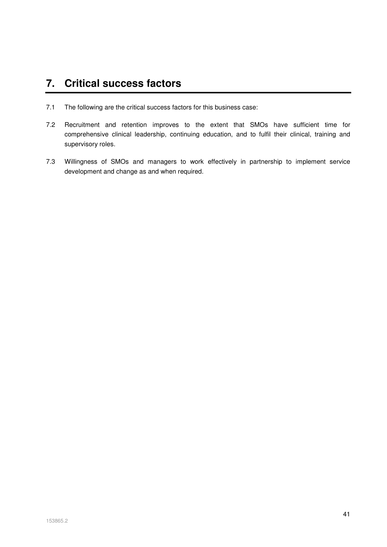# **7. Critical success factors**

- 7.1 The following are the critical success factors for this business case:
- 7.2 Recruitment and retention improves to the extent that SMOs have sufficient time for comprehensive clinical leadership, continuing education, and to fulfil their clinical, training and supervisory roles.
- 7.3 Willingness of SMOs and managers to work effectively in partnership to implement service development and change as and when required.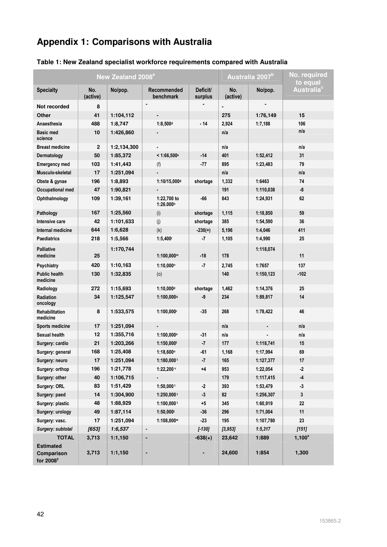# **Appendix 1: Comparisons with Australia**

|                                  |                 | New Zealand 2008 <sup>a</sup> | Australia 2007 <sup>b</sup> |                     | No. required<br>to equal |                |                      |
|----------------------------------|-----------------|-------------------------------|-----------------------------|---------------------|--------------------------|----------------|----------------------|
| <b>Specialty</b>                 | No.<br>(active) | No/pop.                       | Recommended<br>benchmark    | Deficit/<br>surplus | No.<br>(active)          | No/pop.        | Australia $^{\rm c}$ |
| Not recorded                     | 8               |                               | $\blacksquare$              |                     |                          |                |                      |
| Other                            | 41              | 1:104,112                     |                             |                     | 275                      | 1:76,149       | 15                   |
| Anaesthesia                      | 488             | 1:8,747                       | $1:8,500$ d                 | $-14$               | 2,924                    | 1:7,188        | 106                  |
| <b>Basic med</b><br>science      | 10              | 1:426,860                     |                             |                     | n/a                      |                | n/a                  |
| <b>Breast medicine</b>           | $\mathbf 2$     | 1:2,134,300                   |                             |                     | n/a                      |                | n/a                  |
| Dermatology                      | 50              | 1:85,372                      | $<$ 1:66,500 $^{\circ}$     | $-14$               | 401                      | 1:52,412       | 31                   |
| <b>Emergency med</b>             | 103             | 1:41,443                      | (f)                         | -77                 | 895                      | 1:23,483       | 79                   |
| Musculo-skeletal                 | 17              | 1:251,094                     |                             |                     | n/a                      |                | n/a                  |
| Obste & gynae                    | 196             | 1:8,893                       | 1:10/15,0009                | shortage            | 1,332                    | 1:6463         | 74                   |
| Occupational med                 | 47              | 1:90,821                      |                             |                     | 191                      | 1:110,038      | -8                   |
| Ophthalmology                    | 109             | 1:39,161                      | 1:22,700 to<br>1:26.000h    | $-66$               | 843                      | 1:24,931       | 62                   |
| Pathology                        | 167             | 1:25,560                      | (i)                         | shortage            | 1,115                    | 1:18,850       | 59                   |
| Intensive care                   | 42              | 1:101,633                     | (j)                         | shortage            | 385                      | 1:54.590       | 36                   |
| Internal medicine                | 644             | 1:6,628                       | (k)                         | $-230(+)$           | 5,196                    | 1:4,046        | 411                  |
| <b>Paediatrics</b>               | 218             | 1:5,566                       | 1:5,400                     | $-7$                | 1,105                    | 1:4,990        | 25                   |
| <b>Palliative</b><br>medicine    | 25              | 1:170,744                     | $1:100,000$ <sup>m</sup>    | $-18$               | 178                      | 1:118,074      | 11                   |
| Psychiatry                       | 420             | 1:10,163                      | $1:10,000$ <sup>n</sup>     | $-7$                | 2,745                    | 1:7657         | 137                  |
| <b>Public health</b><br>medicine | 130             | 1:32,835                      | (0)                         |                     | 140                      | 1:150,123      | $-102$               |
| Radiology                        | 272             | 1:15,693                      | 1:10,000P                   | shortage            | 1,462                    | 1:14,376       | 25                   |
| Radiation<br>oncology            | 34              | 1:125,547                     | 1:100,0009                  | -9                  | 234                      | 1:89,817       | 14                   |
| Rehabilitation<br>medicine       | 8               | 1:533,575                     | 1:100,000r                  | $-35$               | 268                      | 1:78,422       | 46                   |
| <b>Sports medicine</b>           | 17              | 1:251,094                     |                             |                     | n/a                      |                | n/a                  |
| Sexual health                    | 12              | 1:355,716                     | 1:100,000s                  | $-31$               | n/a                      |                | n/a                  |
| Surgery: cardio                  | 21              | 1:203,266                     | 1:150,000t                  | $-7$                | 177                      | 1:118,741      | 15                   |
| Surgery: general                 | 168             | 1:25,408                      | $1:18,600^u$                | $-61$               | 1,168                    | 1:17,994       | 69                   |
| Surgery: neuro                   | 17              | 1:251,094                     | $1:180,000$ <sup>t</sup>    | $\cdot 7$           | 165                      | 1:127,377      | 17                   |
| Surgery: orthop                  | 196             | 1:21,778                      | $1:22,200$ v                | $+4$                | 953                      | 1:22,054       | $-2$                 |
| Surgery: other                   | 40              | 1:106,715                     | $\blacksquare$              |                     | 179                      | 1:117,415      | $-4$                 |
| Surgery: ORL                     | 83              | 1:51,429                      | $1:50,000$ <sup>t</sup>     | $-2$                | 393                      | 1:53,479       | $-3$                 |
| Surgery: paed                    | 14              | 1:304,900                     | $1:250,000$ <sup>t</sup>    | $-3$                | 82                       | 1:256,307      | $\mathbf{3}$         |
| Surgery: plastic                 | 48              | 1:88,929                      | $1:100,000$ <sup>t</sup>    | $+5$                | 345                      | 1:60,919       | 22                   |
| Surgery: urology                 | 49              | 1:87,114                      | $1:50,000$ t                | $-36$               | 296                      | 1:71,004       | 11                   |
| Surgery: vasc.                   | 17              | 1:251,094                     | 1:108,000 <sub>w</sub>      | $-23$               | 195                      | 1:107,780      | 23                   |
| Surgery: subtotal                | [653]           | 1:6,537                       | $\overline{\phantom{a}}$    | $[-130]$            | [3, 953]                 | 1:5,317        | $[151]$              |
| <b>TOTAL</b><br>Estimated        | 3,713<br>3,713  | 1:1,150<br>1:1,150            | -                           | $-638(+)$           | 23,642<br>24,600         | 1:889<br>1:854 | $1,100^x$<br>1,300   |
| Comparison<br>for $2008^y$       |                 |                               |                             |                     |                          |                |                      |

# **Table 1: New Zealand specialist workforce requirements compared with Australia**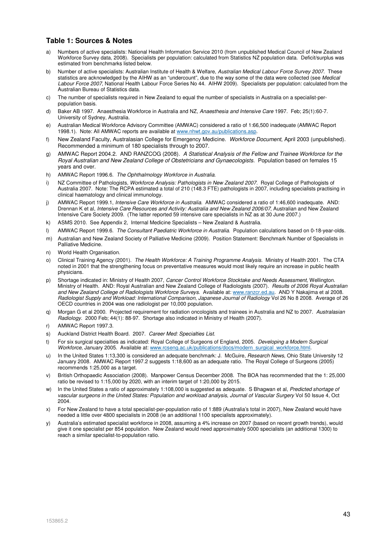#### **Table 1: Sources & Notes**

- a) Numbers of active specialists: National Health Information Service 2010 (from unpublished Medical Council of New Zealand Workforce Survey data, 2008). Specialists per population: calculated from Statistics NZ population data. Deficit/surplus was estimated from benchmarks listed below.
- b) Number of active specialists: Australian Institute of Health & Welfare, Australian Medical Labour Force Survey 2007. These statistics are acknowledged by the AIHW as an "undercount", due to the way some of the data were collected (see Medical Labour Force 2007, National Health Labour Force Series No 44. AIHW 2009). Specialists per population: calculated from the Australian Bureau of Statistics data.
- c) The number of specialists required in New Zealand to equal the number of specialists in Australia on a specialist-perpopulation basis.
- d) Baker AB 1997. Anaesthesia Workforce in Australia and NZ, Anaesthesia and Intensive Care 1997. Feb: 25(1):60-7. University of Sydney, Australia.
- e) Australian Medical Workforce Advisory Committee (AMWAC) considered a ratio of 1:66,500 inadequate (AMWAC Report 1998.1). Note: All AMWAC reports are available at www.nhwt.gov.au/publications.asp.
- f) New Zealand Faculty, Australasian College for Emergency Medicine. Workforce Document, April 2003 (unpublished). Recommended a minimum of 180 specialists through to 2007.
- g) AMWAC Report 2004.2. AND RANZCOG (2008). A Statistical Analysis of the Fellow and Trainee Workforce for the Royal Australian and New Zealand College of Obstetricians and Gynaecologists. Population based on females 15 years and over.
- h) AMWAC Report 1996.6. The Ophthalmology Workforce in Australia.
- i) NZ Committee of Pathologists, Workforce Analysis: Pathologists in New Zealand 2007. Royal College of Pathologists of Australia 2007. Note: The RCPA estimated a total of 210 (148.3 FTE) pathologists in 2007, including specialists practising in clinical haematology and clinical immunology.
- j) AMWAC Report 1999.1, Intensive Care Workforce in Australia. AMWAC considered a ratio of 1:46,600 inadequate. AND: Drennan K et al, Intensive Care Resources and Activity: Australia and New Zealand 2006/07, Australian and New Zealand Intensive Care Society 2009. (The latter reported 59 intensive care specialists in NZ as at 30 June 2007.)
- k) ASMS 2010. See Appendix 2, Internal Medicine Specialists New Zealand & Australia.
- l) AMWAC Report 1999.6. The Consultant Paediatric Workforce in Australia. Population calculations based on 0-18-year-olds.
- m) Australian and New Zealand Society of Palliative Medicine (2009). Position Statement: Benchmark Number of Specialists in Palliative Medicine.
- n) World Health Organisation.
- o) Clinical Training Agency (2001). The Health Workforce: A Training Programme Analysis. Ministry of Health 2001. The CTA noted in 2001 that the strengthening focus on preventative measures would most likely require an increase in public health physicians.
- Shortage indicated in: Ministry of Health 2007, Cancer Control Workforce Stocktake and Needs Assessment, Wellington. Ministry of Health. AND: Royal Australian and New Zealand College of Radiologists (2007). Results of 2006 Royal Australian and New Zealand College of Radiologists Workforce Surveys. Available at: www.ranzcr.ed.au. AND Y Nakajima et al 2008. Radiologist Supply and Workload: International Comparison, Japanese Journal of Radiology Vol 26 No 8 2008. Average of 26 OECD countries in 2004 was one radiologist per 10,000 population.
- q) Morgan G et al 2000. Projected requirement for radiation oncologists and trainees in Australia and NZ to 2007. Australasian Radiology. 2000 Feb; 44(1): 88-97. Shortage also indicated in Ministry of Health (2007).
- r) AMWAC Report 1997.3.
- s) Auckland District Health Board. 2007. Career Med: Specialties List.
- t) For six surgical specialties as indicated: Royal College of Surgeons of England, 2005. Developing a Modern Surgical Workforce, January 2005. Available at: www.rcseng.ac.uk/publications/docs/modern\_surgical\_workforce.html.
- u) In the United States 1:13,300 is considered an adequate benchmark: J. McGuire, *Research News*, Ohio State University 12 January 2008. AMWAC Report 1997.2 suggests 1:18,600 as an adequate ratio. The Royal College of Surgeons (2005) recommends 1:25,000 as a target.
- v) British Orthopaedic Association (2008). Manpower Census December 2008. The BOA has recommended that the 1: 25,000 ratio be revised to 1:15,000 by 2020, with an interim target of 1:20,000 by 2015.
- w) In the United States a ratio of approximately 1:108,000 is suggested as adequate. S Bhagwan et al, Predicted shortage of vascular surgeons in the United States: Population and workload analysis, Journal of Vascular Surgery Vol 50 Issue 4, Oct 2004.
- x) For New Zealand to have a total specialist-per-population ratio of 1:889 (Australia's total in 2007), New Zealand would have needed a little over 4800 specialists in 2008 (ie an additional 1100 specialists approximately).
- y) Australia's estimated specialist workforce in 2008, assuming a 4% increase on 2007 (based on recent growth trends), would give it one specialist per 854 population. New Zealand would need approximately 5000 specialists (an additional 1300) to reach a similar specialist-to-population ratio.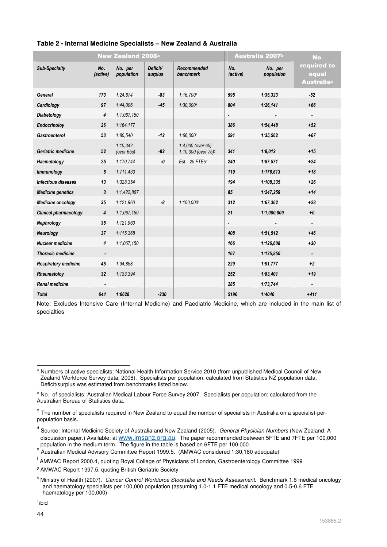|                              |                 | <b>New Zealand 2008</b> <sup>a</sup> |                     |                                                      |                 | Australia 2007 <sup>b</sup> | No.                                       |
|------------------------------|-----------------|--------------------------------------|---------------------|------------------------------------------------------|-----------------|-----------------------------|-------------------------------------------|
| <b>Sub-Specialty</b>         | No.<br>(active) | No. per<br>population                | Deficit/<br>surplus | Recommended<br>benchmark                             | No.<br>(active) | No. per<br>population       | required to<br>equal<br><b>Australiac</b> |
| General                      | 173             | 1:24.674                             | $-83$               | 1:16.700 <sup>d</sup>                                | 595             | 1:35.323                    | $-52$                                     |
| Cardiology                   | 97              | 1:44.006                             | $-45$               | 1:30.000e                                            | 804             | 1:26,141                    | $+66$                                     |
| Diabetology                  | 4               | 1:1.067.150                          |                     |                                                      | $\blacksquare$  |                             |                                           |
| Endocrinoloy                 | 26              | 1:164.177                            |                     |                                                      | 386             | 1:54,448                    | $+52$                                     |
| <b>Gastroenterol</b>         | 53              | 1:80,540                             | $-12$               | 1:66,000f                                            | 591             | 1:35,562                    | $+67$                                     |
| Geriatric medicine           | 52              | 1:10.342<br>(over 65s)               | $-82$               | 1:4,000 (over 65)<br>1:10,000 (over 75) <sup>9</sup> | 341             | 1:8,012                     | $+15$                                     |
| Haematology                  | 25              | 1:170,744                            | -0                  | Est. 25 FTEsh                                        | 240             | 1:87,571                    | $+24$                                     |
| <b>Immunology</b>            | 6               | 1:711,433                            |                     |                                                      | 119             | 1:176,613                   | $+18$                                     |
| <b>Infectious diseases</b>   | 13              | 1:328,354                            |                     |                                                      | 194             | 1:108,335                   | $+26$                                     |
| <b>Medicine genetics</b>     | 3               | 1:1.422.867                          |                     |                                                      | 85              | 1:247,259                   | $+14$                                     |
| <b>Medicine oncology</b>     | 35              | 1:121,960                            | -8                  | 1:100,000                                            | 312             | 1:67,362                    | $+28$                                     |
| <b>Clinical pharmacology</b> | 4               | 1:1.067,150                          |                     |                                                      | 21              | 1:1,000,809                 | $+0$                                      |
| Nephrology                   | 35              | 1:121,960                            |                     |                                                      | $\blacksquare$  |                             |                                           |
| Neurology                    | 37              | 1:115,368                            |                     |                                                      | 408             | 1:51,512                    | $+46$                                     |
| <b>Nuclear medicine</b>      | 4               | 1:1.067.150                          |                     |                                                      | 166             | 1:126,608                   | $+30$                                     |
| <b>Thoracic medicine</b>     |                 |                                      |                     |                                                      | 167             | 1:125,850                   |                                           |
| <b>Respiratory medicine</b>  | 45              | 1:94,858                             |                     |                                                      | 229             | 1:91,777                    | $+2$                                      |
| Rheumatoloy                  | 32              | 1:133,394                            |                     |                                                      | 252             | 1:83,401                    | $+19$                                     |
| <b>Renal medicine</b>        |                 |                                      |                     |                                                      | 285             | 1:73,744                    |                                           |
| <b>Total</b>                 | 644             | 1:6628                               | $-230$              |                                                      | 5196            | 1:4046                      | $+411$                                    |

#### **Table 2 - Internal Medicine Specialists – New Zealand & Australia**

Note: Excludes Intensive Care (Internal Medicine) and Paediatric Medicine, which are included in the main list of specialties

l <sup>a</sup> Numbers of active specialists: National Health Information Service 2010 (from unpublished Medical Council of New Zealand Workforce Survey data, 2008). Specialists per population: calculated from Statistics NZ population data. Deficit/surplus was estimated from benchmarks listed below.

b No. of specialists: Australian Medical Labour Force Survey 2007. Specialists per population: calculated from the Australian Bureau of Statistics data.

<sup>&</sup>lt;sup>c</sup> The number of specialists required in New Zealand to equal the number of specialists in Australia on a specialist-perpopulation basis.

<sup>&</sup>lt;sup>d</sup> Source: Internal Medicine Society of Australia and New Zealand (2005). *General Physician Numbers* (New Zealand: A discussion paper.) Available: at www.imsanz.org.au. The paper recommended between 5FTE and 7FTE per 100,000

population in the medium term. The figure in the table is based on 6FTE per 100,000.<br><sup>e</sup> Australian Medical Advisory Committee Report 1999.5. (AMWAC considered 1:30,180 adequate)

<sup>&</sup>lt;sup>f</sup> AMWAC Report 2000.4, quoting Royal College of Physicians of London, Gastroenterology Committee 1999

<sup>&</sup>lt;sup>g</sup> AMWAC Report 1997.5, quoting British Geriatric Society

<sup>&</sup>lt;sup>h</sup> Ministry of Health (2007). Cancer Control Workforce Stocktake and Needs Assessment. Benchmark 1.6 medical oncology and haematology specialists per 100,000 population (assuming 1.0-1.1 FTE medical oncology and 0.5-0.6 FTE haematology per 100,000)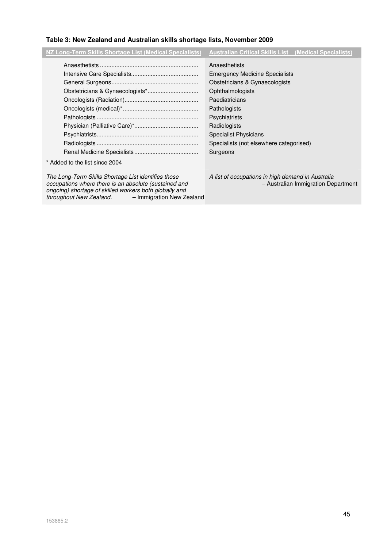# **Table 3: New Zealand and Australian skills shortage lists, November 2009**

| NZ Long-Term Skills Shortage List (Medical Specialists) | <b>Australian Critical Skills List (Medical Specialists)</b>                                                                                                                                                                                                                  |
|---------------------------------------------------------|-------------------------------------------------------------------------------------------------------------------------------------------------------------------------------------------------------------------------------------------------------------------------------|
| * Added to the list since 2004                          | Anaesthetists<br><b>Emergency Medicine Specialists</b><br>Obstetricians & Gynaecologists<br>Ophthalmologists<br>Paediatricians<br>Pathologists<br><b>Psychiatrists</b><br>Radiologists<br><b>Specialist Physicians</b><br>Specialists (not elsewhere categorised)<br>Surgeons |
|                                                         |                                                                                                                                                                                                                                                                               |

The Long-Term Skills Shortage List identifies those occupations where there is an absolute (sustained and ongoing) shortage of skilled workers both globally and<br>throughout New Zealand. - - Immigration New Ze - Immigration New Zealand

A list of occupations in high demand in Australia – Australian Immigration Department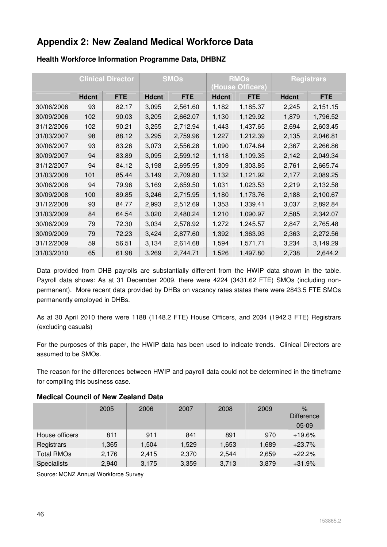# **Appendix 2: New Zealand Medical Workforce Data**

|            | <b>Clinical Director</b> |            |              | <b>SMOs</b> |              | <b>RMOs</b><br>(House Officers) |              | <b>Registrars</b> |
|------------|--------------------------|------------|--------------|-------------|--------------|---------------------------------|--------------|-------------------|
|            | <b>Hdcnt</b>             | <b>FTE</b> | <b>Hdcnt</b> | <b>FTE</b>  | <b>Hdcnt</b> | <b>FTE</b>                      | <b>Hdcnt</b> | <b>FTE</b>        |
| 30/06/2006 | 93                       | 82.17      | 3,095        | 2,561.60    | 1,182        | 1,185.37                        | 2,245        | 2,151.15          |
| 30/09/2006 | 102                      | 90.03      | 3,205        | 2,662.07    | 1,130        | 1,129.92                        | 1,879        | 1,796.52          |
| 31/12/2006 | 102                      | 90.21      | 3,255        | 2,712.94    | 1,443        | 1,437.65                        | 2,694        | 2,603.45          |
| 31/03/2007 | 98                       | 88.12      | 3,295        | 2,759.96    | 1,227        | 1,212.39                        | 2,135        | 2,046.81          |
| 30/06/2007 | 93                       | 83.26      | 3,073        | 2,556.28    | 1,090        | 1,074.64                        | 2,367        | 2,266.86          |
| 30/09/2007 | 94                       | 83.89      | 3,095        | 2,599.12    | 1,118        | 1,109.35                        | 2,142        | 2,049.34          |
| 31/12/2007 | 94                       | 84.12      | 3,198        | 2,695.95    | 1,309        | 1,303.85                        | 2,761        | 2,665.74          |
| 31/03/2008 | 101                      | 85.44      | 3,149        | 2,709.80    | 1,132        | 1,121.92                        | 2,177        | 2,089.25          |
| 30/06/2008 | 94                       | 79.96      | 3,169        | 2,659.50    | 1,031        | 1,023.53                        | 2,219        | 2,132.58          |
| 30/09/2008 | 100                      | 89.85      | 3,246        | 2,715.95    | 1,180        | 1,173.76                        | 2,188        | 2,100.67          |
| 31/12/2008 | 93                       | 84.77      | 2,993        | 2,512.69    | 1,353        | 1,339.41                        | 3,037        | 2,892.84          |
| 31/03/2009 | 84                       | 64.54      | 3,020        | 2,480.24    | 1,210        | 1,090.97                        | 2,585        | 2,342.07          |
| 30/06/2009 | 79                       | 72.30      | 3,034        | 2,578.92    | 1,272        | 1,245.57                        | 2,847        | 2,765.48          |
| 30/09/2009 | 79                       | 72.23      | 3,424        | 2,877.60    | 1,392        | 1,363.93                        | 2,363        | 2,272.56          |
| 31/12/2009 | 59                       | 56.51      | 3,134        | 2,614.68    | 1,594        | 1,571.71                        | 3,234        | 3,149.29          |
| 31/03/2010 | 65                       | 61.98      | 3,269        | 2,744.71    | 1,526        | 1,497.80                        | 2,738        | 2,644.2           |

# **Health Workforce Information Programme Data, DHBNZ**

Data provided from DHB payrolls are substantially different from the HWIP data shown in the table. Payroll data shows: As at 31 December 2009, there were 4224 (3431.62 FTE) SMOs (including nonpermanent). More recent data provided by DHBs on vacancy rates states there were 2843.5 FTE SMOs permanently employed in DHBs.

As at 30 April 2010 there were 1188 (1148.2 FTE) House Officers, and 2034 (1942.3 FTE) Registrars (excluding casuals)

For the purposes of this paper, the HWIP data has been used to indicate trends. Clinical Directors are assumed to be SMOs.

The reason for the differences between HWIP and payroll data could not be determined in the timeframe for compiling this business case.

|                    | 2005  | 2006  | 2007  | 2008  | 2009  | $\%$<br><b>Difference</b><br>$05-09$ |
|--------------------|-------|-------|-------|-------|-------|--------------------------------------|
| House officers     | 811   | 911   | 841   | 891   | 970   | $+19.6%$                             |
| Registrars         | 1,365 | 1,504 | 1,529 | 1,653 | 1,689 | $+23.7%$                             |
| <b>Total RMOs</b>  | 2,176 | 2.415 | 2,370 | 2,544 | 2,659 | $+22.2%$                             |
| <b>Specialists</b> | 2,940 | 3,175 | 3,359 | 3,713 | 3,879 | $+31.9%$                             |

### **Medical Council of New Zealand Data**

Source: MCNZ Annual Workforce Survey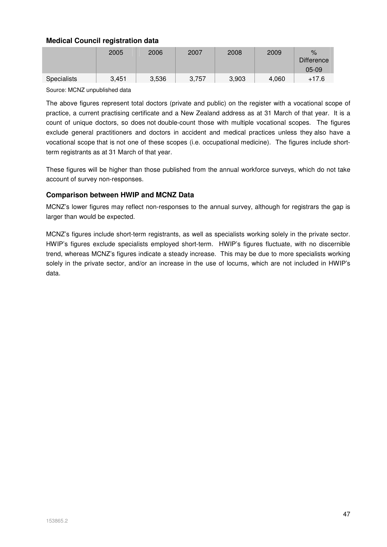# **Medical Council registration data**

|                    | 2005  | 2006  | 2007  | 2008  | 2009  | $\%$<br><b>Difference</b><br>$05-09$ |
|--------------------|-------|-------|-------|-------|-------|--------------------------------------|
| <b>Specialists</b> | 3.451 | 3,536 | 3,757 | 3,903 | 4,060 | $+17.6$                              |
|                    |       |       |       |       |       |                                      |

Source: MCNZ unpublished data

The above figures represent total doctors (private and public) on the register with a vocational scope of practice, a current practising certificate and a New Zealand address as at 31 March of that year. It is a count of unique doctors, so does not double-count those with multiple vocational scopes. The figures exclude general practitioners and doctors in accident and medical practices unless they also have a vocational scope that is not one of these scopes (i.e. occupational medicine). The figures include shortterm registrants as at 31 March of that year.

These figures will be higher than those published from the annual workforce surveys, which do not take account of survey non-responses.

#### **Comparison between HWIP and MCNZ Data**

MCNZ's lower figures may reflect non-responses to the annual survey, although for registrars the gap is larger than would be expected.

MCNZ's figures include short-term registrants, as well as specialists working solely in the private sector. HWIP's figures exclude specialists employed short-term. HWIP's figures fluctuate, with no discernible trend, whereas MCNZ's figures indicate a steady increase. This may be due to more specialists working solely in the private sector, and/or an increase in the use of locums, which are not included in HWIP's data.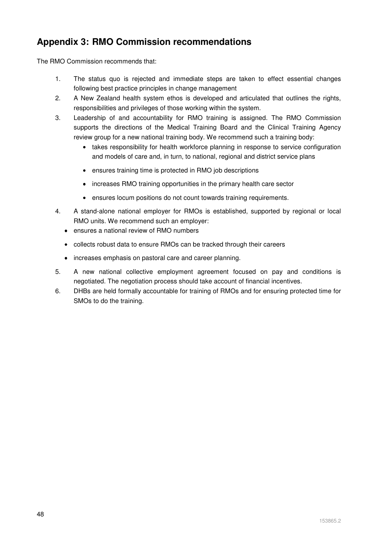# **Appendix 3: RMO Commission recommendations**

The RMO Commission recommends that:

- 1. The status quo is rejected and immediate steps are taken to effect essential changes following best practice principles in change management
- 2. A New Zealand health system ethos is developed and articulated that outlines the rights, responsibilities and privileges of those working within the system.
- 3. Leadership of and accountability for RMO training is assigned. The RMO Commission supports the directions of the Medical Training Board and the Clinical Training Agency review group for a new national training body. We recommend such a training body:
	- takes responsibility for health workforce planning in response to service configuration and models of care and, in turn, to national, regional and district service plans
	- ensures training time is protected in RMO job descriptions
	- increases RMO training opportunities in the primary health care sector
	- ensures locum positions do not count towards training requirements.
- 4. A stand-alone national employer for RMOs is established, supported by regional or local RMO units. We recommend such an employer:
	- ensures a national review of RMO numbers
	- collects robust data to ensure RMOs can be tracked through their careers
	- increases emphasis on pastoral care and career planning.
- 5. A new national collective employment agreement focused on pay and conditions is negotiated. The negotiation process should take account of financial incentives.
- 6. DHBs are held formally accountable for training of RMOs and for ensuring protected time for SMOs to do the training.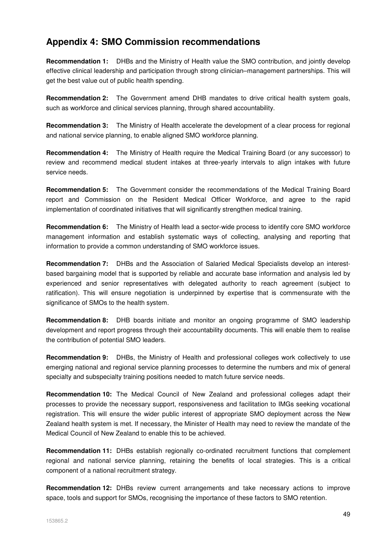# **Appendix 4: SMO Commission recommendations**

**Recommendation 1:** DHBs and the Ministry of Health value the SMO contribution, and jointly develop effective clinical leadership and participation through strong clinician–management partnerships. This will get the best value out of public health spending.

**Recommendation 2:** The Government amend DHB mandates to drive critical health system goals, such as workforce and clinical services planning, through shared accountability.

**Recommendation 3:** The Ministry of Health accelerate the development of a clear process for regional and national service planning, to enable aligned SMO workforce planning.

**Recommendation 4:** The Ministry of Health require the Medical Training Board (or any successor) to review and recommend medical student intakes at three-yearly intervals to align intakes with future service needs.

**Recommendation 5:** The Government consider the recommendations of the Medical Training Board report and Commission on the Resident Medical Officer Workforce, and agree to the rapid implementation of coordinated initiatives that will significantly strengthen medical training.

**Recommendation 6:** The Ministry of Health lead a sector-wide process to identify core SMO workforce management information and establish systematic ways of collecting, analysing and reporting that information to provide a common understanding of SMO workforce issues.

**Recommendation 7:** DHBs and the Association of Salaried Medical Specialists develop an interestbased bargaining model that is supported by reliable and accurate base information and analysis led by experienced and senior representatives with delegated authority to reach agreement (subject to ratification). This will ensure negotiation is underpinned by expertise that is commensurate with the significance of SMOs to the health system.

**Recommendation 8:** DHB boards initiate and monitor an ongoing programme of SMO leadership development and report progress through their accountability documents. This will enable them to realise the contribution of potential SMO leaders.

**Recommendation 9:** DHBs, the Ministry of Health and professional colleges work collectively to use emerging national and regional service planning processes to determine the numbers and mix of general specialty and subspecialty training positions needed to match future service needs.

**Recommendation 10:** The Medical Council of New Zealand and professional colleges adapt their processes to provide the necessary support, responsiveness and facilitation to IMGs seeking vocational registration. This will ensure the wider public interest of appropriate SMO deployment across the New Zealand health system is met. If necessary, the Minister of Health may need to review the mandate of the Medical Council of New Zealand to enable this to be achieved.

**Recommendation 11:** DHBs establish regionally co-ordinated recruitment functions that complement regional and national service planning, retaining the benefits of local strategies. This is a critical component of a national recruitment strategy.

**Recommendation 12:** DHBs review current arrangements and take necessary actions to improve space, tools and support for SMOs, recognising the importance of these factors to SMO retention.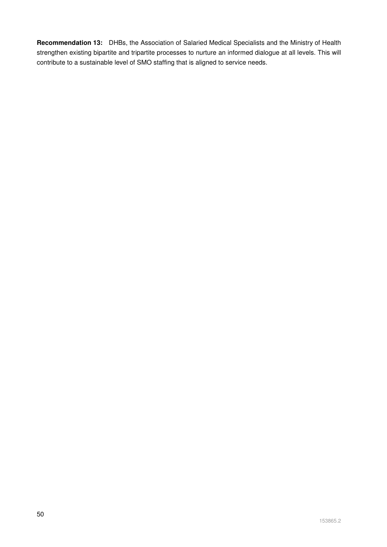**Recommendation 13:** DHBs, the Association of Salaried Medical Specialists and the Ministry of Health strengthen existing bipartite and tripartite processes to nurture an informed dialogue at all levels. This will contribute to a sustainable level of SMO staffing that is aligned to service needs.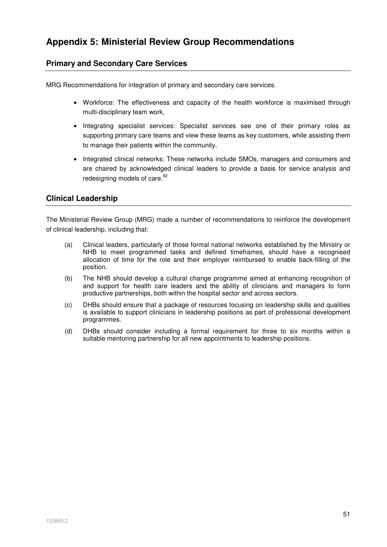# **Primary and Secondary Care Services**

MRG Recommendations for integration of primary and secondary care services.

- Workforce: The effectiveness and capacity of the health workforce is maximised through multi-disciplinary team work,
- Integrating specialist services: Specialist services see one of their primary roles as supporting primary care teams and view these teams as key customers, while assisting them to manage their patients within the community,
- Integrated clinical networks: These networks include SMOs, managers and consumers and are chaired by acknowledged clinical leaders to provide a basis for service analysis and redesigning models of care.<sup>92</sup>

# **Clinical Leadership**

The Ministerial Review Group (MRG) made a number of recommendations to reinforce the development of clinical leadership, including that:

- (a) Clinical leaders, particularly of those formal national networks established by the Ministry or NHB to meet programmed tasks and defined timeframes, should have a recognised allocation of time for the role and their employer reimbursed to enable back-filling of the position.
- (b) The NHB should develop a cultural change programme aimed at enhancing recognition of and support for health care leaders and the ability of clinicians and managers to form productive partnerships, both within the hospital sector and across sectors.
- (c) DHBs should ensure that a package of resources focusing on leadership skills and qualities is available to support clinicians in leadership positions as part of professional development programmes.
- (d) DHBs should consider including a formal requirement for three to six months within a suitable mentoring partnership for all new appointments to leadership positions.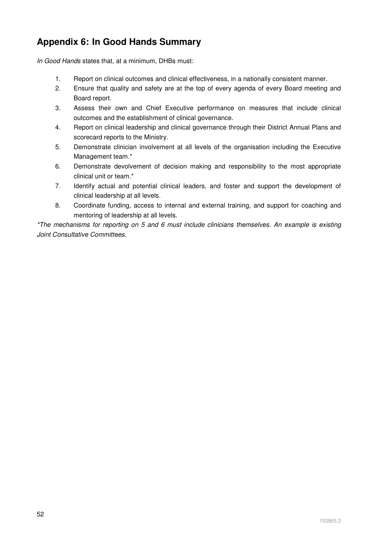# **Appendix 6: In Good Hands Summary**

In Good Hands states that, at a minimum, DHBs must:

- 1. Report on clinical outcomes and clinical effectiveness, in a nationally consistent manner.
- 2. Ensure that quality and safety are at the top of every agenda of every Board meeting and Board report.
- 3. Assess their own and Chief Executive performance on measures that include clinical outcomes and the establishment of clinical governance.
- 4. Report on clinical leadership and clinical governance through their District Annual Plans and scorecard reports to the Ministry.
- 5. Demonstrate clinician involvement at all levels of the organisation including the Executive Management team.\*
- 6. Demonstrate devolvement of decision making and responsibility to the most appropriate clinical unit or team.\*
- 7. Identify actual and potential clinical leaders, and foster and support the development of clinical leadership at all levels.
- 8. Coordinate funding, access to internal and external training, and support for coaching and mentoring of leadership at all levels.

\*The mechanisms for reporting on 5 and 6 must include clinicians themselves. An example is existing Joint Consultative Committees.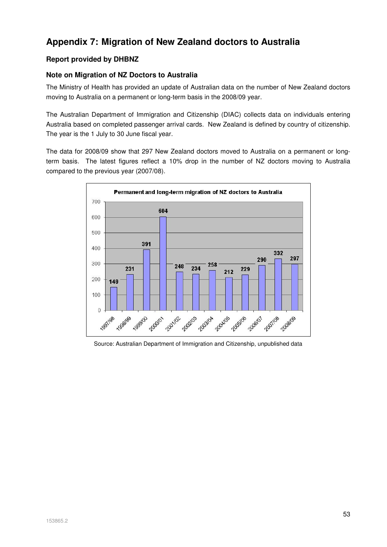# **Appendix 7: Migration of New Zealand doctors to Australia**

# **Report provided by DHBNZ**

# **Note on Migration of NZ Doctors to Australia**

The Ministry of Health has provided an update of Australian data on the number of New Zealand doctors moving to Australia on a permanent or long-term basis in the 2008/09 year.

The Australian Department of Immigration and Citizenship (DIAC) collects data on individuals entering Australia based on completed passenger arrival cards. New Zealand is defined by country of citizenship. The year is the 1 July to 30 June fiscal year.

The data for 2008/09 show that 297 New Zealand doctors moved to Australia on a permanent or longterm basis. The latest figures reflect a 10% drop in the number of NZ doctors moving to Australia compared to the previous year (2007/08).



Source: Australian Department of Immigration and Citizenship, unpublished data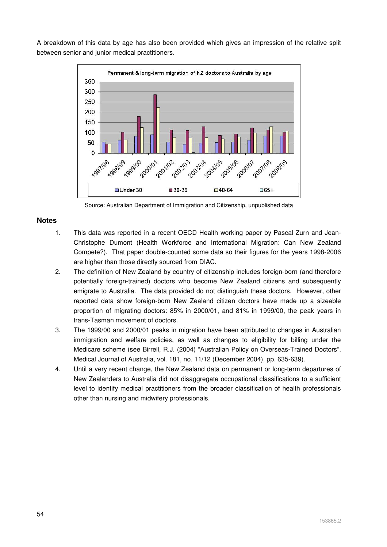A breakdown of this data by age has also been provided which gives an impression of the relative split between senior and junior medical practitioners.



Source: Australian Department of Immigration and Citizenship, unpublished data

#### **Notes**

- 1. This data was reported in a recent OECD Health working paper by Pascal Zurn and Jean-Christophe Dumont (Health Workforce and International Migration: Can New Zealand Compete?). That paper double-counted some data so their figures for the years 1998-2006 are higher than those directly sourced from DIAC.
- 2. The definition of New Zealand by country of citizenship includes foreign-born (and therefore potentially foreign-trained) doctors who become New Zealand citizens and subsequently emigrate to Australia. The data provided do not distinguish these doctors. However, other reported data show foreign-born New Zealand citizen doctors have made up a sizeable proportion of migrating doctors: 85% in 2000/01, and 81% in 1999/00, the peak years in trans-Tasman movement of doctors.
- 3. The 1999/00 and 2000/01 peaks in migration have been attributed to changes in Australian immigration and welfare policies, as well as changes to eligibility for billing under the Medicare scheme (see Birrell, R.J. (2004) "Australian Policy on Overseas-Trained Doctors". Medical Journal of Australia, vol. 181, no. 11/12 (December 2004), pp. 635-639).
- 4. Until a very recent change, the New Zealand data on permanent or long-term departures of New Zealanders to Australia did not disaggregate occupational classifications to a sufficient level to identify medical practitioners from the broader classification of health professionals other than nursing and midwifery professionals.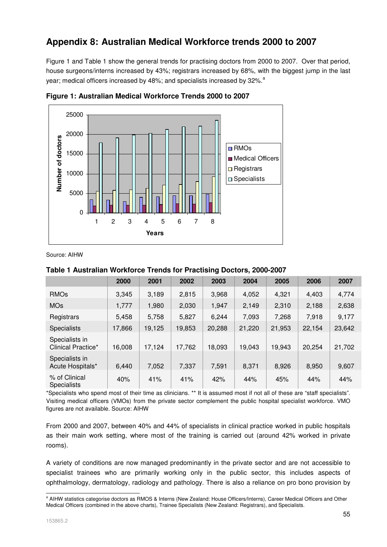# **Appendix 8: Australian Medical Workforce trends 2000 to 2007**

Figure 1 and Table 1 show the general trends for practising doctors from 2000 to 2007. Over that period, house surgeons/interns increased by 43%; registrars increased by 68%, with the biggest jump in the last year; medical officers increased by 48%; and specialists increased by 32%.<sup>a</sup>



**Figure 1: Australian Medical Workforce Trends 2000 to 2007** 

Source: AIHW

# **Table 1 Australian Workforce Trends for Practising Doctors, 2000-2007**

|                                      | 2000   | 2001   | 2002   | 2003   | 2004   | 2005   | 2006   | 2007   |
|--------------------------------------|--------|--------|--------|--------|--------|--------|--------|--------|
| <b>RMOs</b>                          | 3,345  | 3,189  | 2,815  | 3,968  | 4,052  | 4,321  | 4,403  | 4,774  |
| <b>MOs</b>                           | 1,777  | 1,980  | 2,030  | 1,947  | 2,149  | 2,310  | 2,188  | 2,638  |
| Registrars                           | 5,458  | 5,758  | 5,827  | 6,244  | 7,093  | 7,268  | 7,918  | 9,177  |
| <b>Specialists</b>                   | 17,866 | 19,125 | 19,853 | 20,288 | 21,220 | 21,953 | 22,154 | 23,642 |
| Specialists in<br>Clinical Practice* | 16,008 | 17,124 | 17,762 | 18,093 | 19,043 | 19,943 | 20,254 | 21,702 |
| Specialists in<br>Acute Hospitals*   | 6,440  | 7,052  | 7,337  | 7,591  | 8,371  | 8,926  | 8,950  | 9,607  |
| % of Clinical<br><b>Specialists</b>  | 40%    | 41%    | 41%    | 42%    | 44%    | 45%    | 44%    | 44%    |

\*Specialists who spend most of their time as clinicians. \*\* It is assumed most if not all of these are "staff specialists". Visiting medical officers (VMOs) from the private sector complement the public hospital specialist workforce. VMO figures are not available. Source: AIHW

From 2000 and 2007, between 40% and 44% of specialists in clinical practice worked in public hospitals as their main work setting, where most of the training is carried out (around 42% worked in private rooms).

A variety of conditions are now managed predominantly in the private sector and are not accessible to specialist trainees who are primarily working only in the public sector, this includes aspects of ophthalmology, dermatology, radiology and pathology. There is also a reliance on pro bono provision by

a<br>All Allen Statistics categorise doctors as RMOS & Interns (New Zealand: House Officers/Interns), Career Medical Officers and Other Medical Officers (combined in the above charts), Trainee Specialists (New Zealand: Registrars), and Specialists.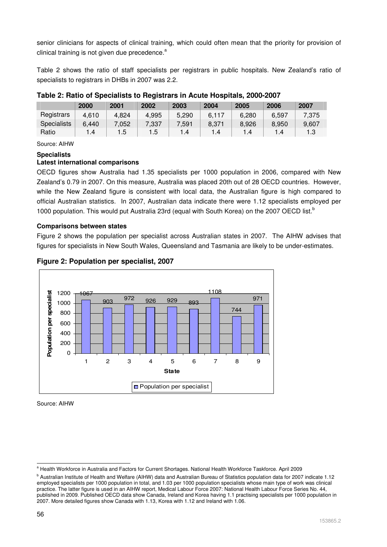senior clinicians for aspects of clinical training, which could often mean that the priority for provision of clinical training is not given due precedence.<sup>a</sup>

Table 2 shows the ratio of staff specialists per registrars in public hospitals. New Zealand's ratio of specialists to registrars in DHBs in 2007 was 2.2.

|                    | 2000  | 2001  | 2002  | 2003  | 2004  | 2005  | 2006  | 2007  |
|--------------------|-------|-------|-------|-------|-------|-------|-------|-------|
| Registrars         | 4,610 | 4.824 | 4,995 | 5,290 | 6.117 | 6.280 | 6.597 | 7,375 |
| <b>Specialists</b> | 6.440 | 7.052 | 7.337 | 7,591 | 8.371 | 8.926 | 8.950 | 9,607 |
| Ratio              | 1.4   | 1.5   | 1.5   | l .4  | 1.4   | .4    | 1.4   | 1.3   |

# **Table 2: Ratio of Specialists to Registrars in Acute Hospitals, 2000-2007**

Source: AIHW

#### **Specialists**

#### **Latest international comparisons**

OECD figures show Australia had 1.35 specialists per 1000 population in 2006, compared with New Zealand's 0.79 in 2007. On this measure, Australia was placed 20th out of 28 OECD countries. However, while the New Zealand figure is consistent with local data, the Australian figure is high compared to official Australian statistics. In 2007, Australian data indicate there were 1.12 specialists employed per 1000 population. This would put Australia 23rd (equal with South Korea) on the 2007 OECD list.<sup>b</sup>

#### **Comparisons between states**

Figure 2 shows the population per specialist across Australian states in 2007. The AIHW advises that figures for specialists in New South Wales, Queensland and Tasmania are likely to be under-estimates.



### **Figure 2: Population per specialist, 2007**

Source: AIHW

 a Health Workforce in Australia and Factors for Current Shortages. National Health Workforce Taskforce. April 2009

b Australian Institute of Health and Welfare (AIHW) data and Australian Bureau of Statistics population data for 2007 indicate 1.12 employed specialists per 1000 population in total, and 1.03 per 1000 population specialists whose main type of work was clinical practice. The latter figure is used in an AIHW report, Medical Labour Force 2007: National Health Labour Force Series No. 44, published in 2009. Published OECD data show Canada, Ireland and Korea having 1.1 practising specialists per 1000 population in 2007. More detailed figures show Canada with 1.13, Korea with 1.12 and Ireland with 1.06.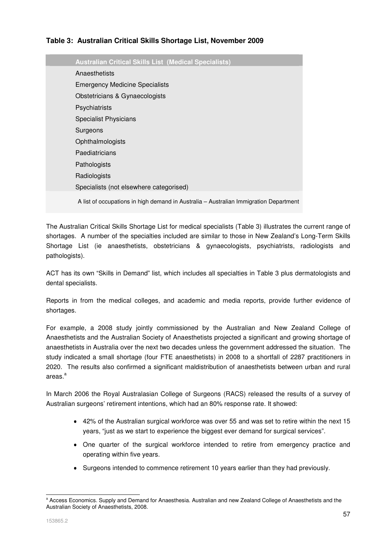# **Table 3: Australian Critical Skills Shortage List, November 2009**

| <b>Australian Critical Skills List (Medical Specialists)</b>                          |
|---------------------------------------------------------------------------------------|
| Anaesthetists                                                                         |
| <b>Emergency Medicine Specialists</b>                                                 |
| Obstetricians & Gynaecologists                                                        |
| Psychiatrists                                                                         |
| <b>Specialist Physicians</b>                                                          |
| Surgeons                                                                              |
| Ophthalmologists                                                                      |
| Paediatricians                                                                        |
| Pathologists                                                                          |
| Radiologists                                                                          |
| Specialists (not elsewhere categorised)                                               |
| A list of occupations in high demand in Australia - Australian Immigration Department |

The Australian Critical Skills Shortage List for medical specialists (Table 3) illustrates the current range of shortages. A number of the specialties included are similar to those in New Zealand's Long-Term Skills Shortage List (ie anaesthetists, obstetricians & gynaecologists, psychiatrists, radiologists and pathologists).

ACT has its own "Skills in Demand" list, which includes all specialties in Table 3 plus dermatologists and dental specialists.

Reports in from the medical colleges, and academic and media reports, provide further evidence of shortages.

For example, a 2008 study jointly commissioned by the Australian and New Zealand College of Anaesthetists and the Australian Society of Anaesthetists projected a significant and growing shortage of anaesthetists in Australia over the next two decades unless the government addressed the situation. The study indicated a small shortage (four FTE anaesthetists) in 2008 to a shortfall of 2287 practitioners in 2020. The results also confirmed a significant maldistribution of anaesthetists between urban and rural areas.<sup>a</sup>

In March 2006 the Royal Australasian College of Surgeons (RACS) released the results of a survey of Australian surgeons' retirement intentions, which had an 80% response rate. It showed:

- 42% of the Australian surgical workforce was over 55 and was set to retire within the next 15 years, "just as we start to experience the biggest ever demand for surgical services".
- One quarter of the surgical workforce intended to retire from emergency practice and operating within five years.
- Surgeons intended to commence retirement 10 years earlier than they had previously.

<sup>-</sup><sup>a</sup> Access Economics. Supply and Demand for Anaesthesia. Australian and new Zealand College of Anaesthetists and the Australian Society of Anaesthetists, 2008.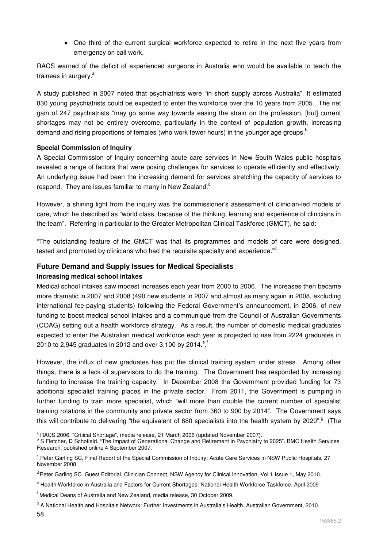• One third of the current surgical workforce expected to retire in the next five years from emergency on call work.

RACS warned of the deficit of experienced surgeons in Australia who would be available to teach the trainees in surgery.<sup>a</sup>

A study published in 2007 noted that psychiatrists were "in short supply across Australia". It estimated 830 young psychiatrists could be expected to enter the workforce over the 10 years from 2005. The net gain of 247 psychiatrists "may go some way towards easing the strain on the profession, [but] current shortages may not be entirely overcome, particularly in the context of population growth, increasing demand and rising proportions of females (who work fewer hours) in the younger age groups.<sup>b</sup>

#### **Special Commission of Inquiry**

A Special Commission of Inquiry concerning acute care services in New South Wales public hospitals revealed a range of factors that were posing challenges for services to operate efficiently and effectively. An underlying issue had been the increasing demand for services stretching the capacity of services to respond. They are issues familiar to many in New Zealand.<sup>c</sup>

However, a shining light from the inquiry was the commissioner's assessment of clinician-led models of care, which he described as "world class, because of the thinking, learning and experience of clinicians in the team". Referring in particular to the Greater Metropolitan Clinical Taskforce (GMCT), he said:

"The outstanding feature of the GMCT was that its programmes and models of care were designed, tested and promoted by clinicians who had the requisite specialty and experience."<sup>d</sup>

# **Future Demand and Supply Issues for Medical Specialists**

#### **Increasing medical school intakes**

Medical school intakes saw modest increases each year from 2000 to 2006. The increases then became more dramatic in 2007 and 2008 (490 new students in 2007 and almost as many again in 2008, excluding international fee-paying students) following the Federal Government's announcement, in 2006, of new funding to boost medical school intakes and a communiqué from the Council of Australian Governments (COAG) setting out a health workforce strategy. As a result, the number of domestic medical graduates expected to enter the Australian medical workforce each year is projected to rise from 2224 graduates in 2010 to 2,945 graduates in 2012 and over 3,100 by 2014.<sup>ef</sup>

However, the influx of new graduates has put the clinical training system under stress. Among other things, there is a lack of supervisors to do the training. The Government has responded by increasing funding to increase the training capacity. In December 2008 the Government provided funding for 73 additional specialist training places in the private sector. From 2011, the Government is pumping in further funding to train more specialist, which "will more than double the current number of specialist training rotations in the community and private sector from 360 to 900 by 2014". The Government says this will contribute to delivering "the equivalent of 680 specialists into the health system by 2020".<sup>g</sup> (The

<sup>-</sup><sup>a</sup> RACS 2006. "Critical Shortage", media release, 21 March 2006 (updated November 2007).

<sup>&</sup>lt;sup>b</sup> S Fletcher, D Schofield. "The Impact of Generational Change and Retirement in Psychiatry to 2025". BMC Health Services Research, published online 4 September 2007.

<sup>&</sup>lt;sup>c</sup> Peter Garling SC, Final Report of the Special Commission of Inquiry: Acute Care Services in NSW Public Hospitals, 27 November 2008

<sup>&</sup>lt;sup>d</sup> Peter Garling SC. Guest Editorial. Clinician Connect, NSW Agency for Clinical Innovation, Vol 1 Issue 1, May 2010.

<sup>&</sup>lt;sup>e</sup> Health Workforce in Australia and Factors for Current Shortages. National Health Workforce Taskforce. April 2009

f Medical Deans of Australia and New Zealand, media release, 30 October 2009.

<sup>&</sup>lt;sup>g</sup> A National Health and Hospitals Network: Further Investments in Australia's Health. Australian Government, 2010.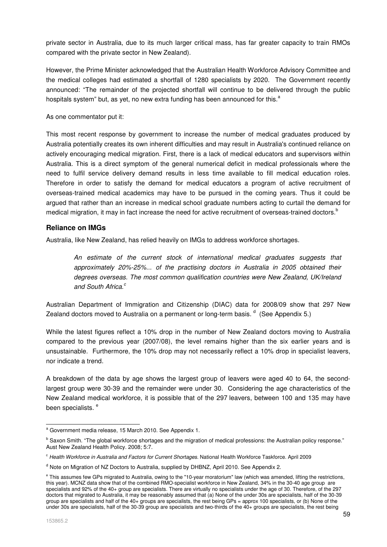private sector in Australia, due to its much larger critical mass, has far greater capacity to train RMOs compared with the private sector in New Zealand).

However, the Prime Minister acknowledged that the Australian Health Workforce Advisory Committee and the medical colleges had estimated a shortfall of 1280 specialists by 2020. The Government recently announced: "The remainder of the projected shortfall will continue to be delivered through the public hospitals system" but, as yet, no new extra funding has been announced for this.<sup>a</sup>

As one commentator put it:

This most recent response by government to increase the number of medical graduates produced by Australia potentially creates its own inherent difficulties and may result in Australia's continued reliance on actively encouraging medical migration. First, there is a lack of medical educators and supervisors within Australia. This is a direct symptom of the general numerical deficit in medical professionals where the need to fulfil service delivery demand results in less time available to fill medical education roles. Therefore in order to satisfy the demand for medical educators a program of active recruitment of overseas-trained medical academics may have to be pursued in the coming years. Thus it could be argued that rather than an increase in medical school graduate numbers acting to curtail the demand for medical migration, it may in fact increase the need for active recruitment of overseas-trained doctors.  $^{\rm b}$ 

#### **Reliance on IMGs**

Australia, like New Zealand, has relied heavily on IMGs to address workforce shortages.

An estimate of the current stock of international medical graduates suggests that approximately 20%-25%... of the practising doctors in Australia in 2005 obtained their degrees overseas. The most common qualification countries were New Zealand, UK/Ireland and South Africa.<sup>c</sup>

Australian Department of Immigration and Citizenship (DIAC) data for 2008/09 show that 297 New Zealand doctors moved to Australia on a permanent or long-term basis.  $d$  (See Appendix 5.)

While the latest figures reflect a 10% drop in the number of New Zealand doctors moving to Australia compared to the previous year (2007/08), the level remains higher than the six earlier years and is unsustainable. Furthermore, the 10% drop may not necessarily reflect a 10% drop in specialist leavers, nor indicate a trend.

A breakdown of the data by age shows the largest group of leavers were aged 40 to 64, the secondlargest group were 30-39 and the remainder were under 30. Considering the age characteristics of the New Zealand medical workforce, it is possible that of the 297 leavers, between 100 and 135 may have been specialists.<sup>e</sup>

a<br>a Government media release, 15 March 2010. See Appendix 1.

<sup>&</sup>lt;sup>b</sup> Saxon Smith. "The global workforce shortages and the migration of medical professions: the Australian policy response." Aust New Zealand Health Policy. 2008; 5:7.

<sup>&</sup>lt;sup>c</sup> Health Workforce in Australia and Factors for Current Shortages. National Health Workforce Taskforce. April 2009

<sup>&</sup>lt;sup>d</sup> Note on Migration of NZ Doctors to Australia, supplied by DHBNZ, April 2010. See Appendix 2.

<sup>&</sup>lt;sup>e</sup> This assumes few GPs migrated to Australia, owing to the "10-year moratorium" law (which was amended, lifting the restrictions, this year). MCNZ data show that of the combined RMO-specialist workforce in New Zealand, 34% in the 30-40 age group are specialists and 92% of the 40+ group are specialists. There are virtually no specialists under the age of 30. Therefore, of the 297 doctors that migrated to Australia, it may be reasonably assumed that (a) None of the under 30s are specialists, half of the 30-39 group are specialists and half of the 40+ groups are specialists, the rest being GPs = approx 100 specialists, or (b) None of the under 30s are specialists, half of the 30-39 group are specialists and two-thirds of the 40+ groups are specialists, the rest being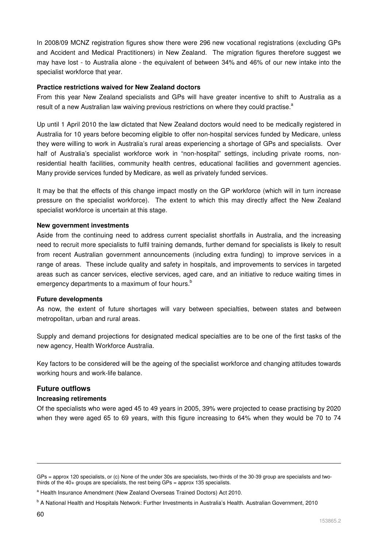In 2008/09 MCNZ registration figures show there were 296 new vocational registrations (excluding GPs and Accident and Medical Practitioners) in New Zealand. The migration figures therefore suggest we may have lost - to Australia alone - the equivalent of between 34% and 46% of our new intake into the specialist workforce that year.

#### **Practice restrictions waived for New Zealand doctors**

From this year New Zealand specialists and GPs will have greater incentive to shift to Australia as a result of a new Australian law waiving previous restrictions on where they could practise.<sup>a</sup>

Up until 1 April 2010 the law dictated that New Zealand doctors would need to be medically registered in Australia for 10 years before becoming eligible to offer non-hospital services funded by Medicare, unless they were willing to work in Australia's rural areas experiencing a shortage of GPs and specialists. Over half of Australia's specialist workforce work in "non-hospital" settings, including private rooms, nonresidential health facilities, community health centres, educational facilities and government agencies. Many provide services funded by Medicare, as well as privately funded services.

It may be that the effects of this change impact mostly on the GP workforce (which will in turn increase pressure on the specialist workforce). The extent to which this may directly affect the New Zealand specialist workforce is uncertain at this stage.

#### **New government investments**

Aside from the continuing need to address current specialist shortfalls in Australia, and the increasing need to recruit more specialists to fulfil training demands, further demand for specialists is likely to result from recent Australian government announcements (including extra funding) to improve services in a range of areas. These include quality and safety in hospitals, and improvements to services in targeted areas such as cancer services, elective services, aged care, and an initiative to reduce waiting times in emergency departments to a maximum of four hours.<sup>b</sup>

#### **Future developments**

As now, the extent of future shortages will vary between specialties, between states and between metropolitan, urban and rural areas.

Supply and demand projections for designated medical specialties are to be one of the first tasks of the new agency, Health Workforce Australia.

Key factors to be considered will be the ageing of the specialist workforce and changing attitudes towards working hours and work-life balance.

#### **Future outflows**

#### **Increasing retirements**

Of the specialists who were aged 45 to 49 years in 2005, 39% were projected to cease practising by 2020 when they were aged 65 to 69 years, with this figure increasing to 64% when they would be 70 to 74

-

GPs = approx 120 specialists, or (c) None of the under 30s are specialists, two-thirds of the 30-39 group are specialists and twothirds of the 40+ groups are specialists, the rest being GPs = approx 135 specialists.

<sup>&</sup>lt;sup>a</sup> Health Insurance Amendment (New Zealand Overseas Trained Doctors) Act 2010.

<sup>&</sup>lt;sup>b</sup> A National Health and Hospitals Network: Further Investments in Australia's Health. Australian Government, 2010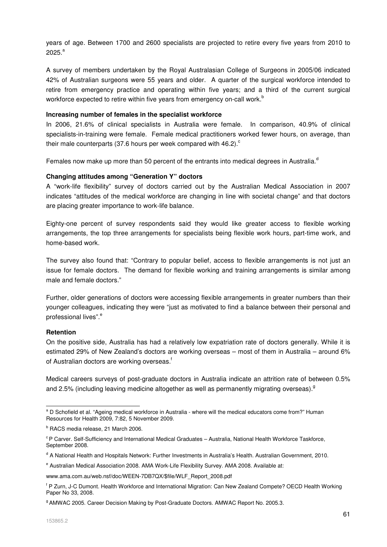years of age. Between 1700 and 2600 specialists are projected to retire every five years from 2010 to  $2025.<sup>a</sup>$ 

A survey of members undertaken by the Royal Australasian College of Surgeons in 2005/06 indicated 42% of Australian surgeons were 55 years and older. A quarter of the surgical workforce intended to retire from emergency practice and operating within five years; and a third of the current surgical workforce expected to retire within five years from emergency on-call work.<sup>b</sup>

#### **Increasing number of females in the specialist workforce**

In 2006, 21.6% of clinical specialists in Australia were female. In comparison, 40.9% of clinical specialists-in-training were female. Female medical practitioners worked fewer hours, on average, than their male counterparts (37.6 hours per week compared with 46.2). $\degree$ 

Females now make up more than 50 percent of the entrants into medical degrees in Australia. $<sup>d</sup>$ </sup>

#### **Changing attitudes among "Generation Y" doctors**

A "work-life flexibility" survey of doctors carried out by the Australian Medical Association in 2007 indicates "attitudes of the medical workforce are changing in line with societal change" and that doctors are placing greater importance to work-life balance.

Eighty-one percent of survey respondents said they would like greater access to flexible working arrangements, the top three arrangements for specialists being flexible work hours, part-time work, and home-based work.

The survey also found that: "Contrary to popular belief, access to flexible arrangements is not just an issue for female doctors. The demand for flexible working and training arrangements is similar among male and female doctors."

Further, older generations of doctors were accessing flexible arrangements in greater numbers than their younger colleagues, indicating they were "just as motivated to find a balance between their personal and professional lives".<sup>e</sup>

#### **Retention**

On the positive side, Australia has had a relatively low expatriation rate of doctors generally. While it is estimated 29% of New Zealand's doctors are working overseas – most of them in Australia – around 6% of Australian doctors are working overseas.<sup>†</sup>

Medical careers surveys of post-graduate doctors in Australia indicate an attrition rate of between 0.5% and 2.5% (including leaving medicine altogether as well as permanently migrating overseas).<sup>9</sup>

l <sup>a</sup> D Schofield et al. "Ageing medical workforce in Australia - where will the medical educators come from?" Human Resources for Health 2009, 7:82, 5 November 2009.

<sup>&</sup>lt;sup>b</sup> RACS media release, 21 March 2006.

<sup>&</sup>lt;sup>c</sup> P Carver. Self-Sufficiency and International Medical Graduates – Australia, National Health Workforce Taskforce, September 2008.

<sup>&</sup>lt;sup>d</sup> A National Health and Hospitals Network: Further Investments in Australia's Health. Australian Government, 2010.

<sup>&</sup>lt;sup>e</sup> Australian Medical Association 2008. AMA Work-Life Flexibility Survey. AMA 2008. Available at:

www.ama.com.au/web.nsf/doc/WEEN-7DB7QX/\$file/WLF\_Report\_2008.pdf

f P Zurn, J-C Dumont. Health Workforce and International Migration: Can New Zealand Compete? OECD Health Working Paper No 33, 2008.

<sup>&</sup>lt;sup>9</sup> AMWAC 2005. Career Decision Making by Post-Graduate Doctors. AMWAC Report No. 2005.3.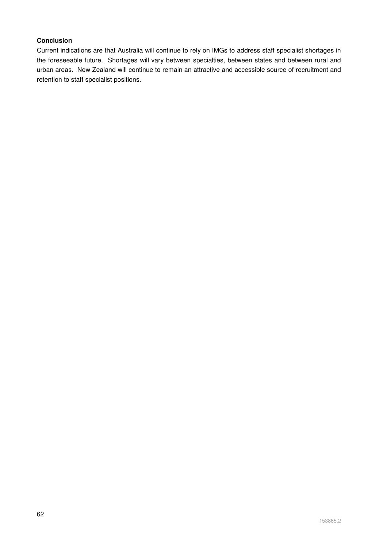### **Conclusion**

Current indications are that Australia will continue to rely on IMGs to address staff specialist shortages in the foreseeable future. Shortages will vary between specialties, between states and between rural and urban areas. New Zealand will continue to remain an attractive and accessible source of recruitment and retention to staff specialist positions.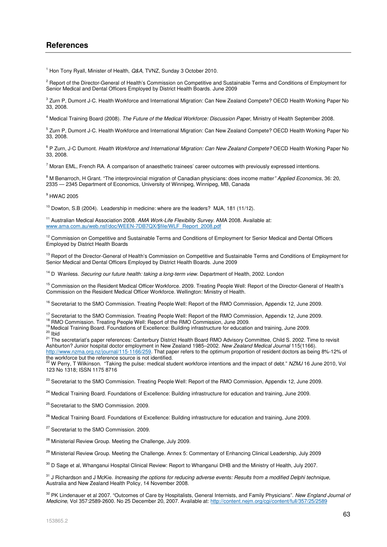<sup>1</sup> Hon Tony Ryall, Minister of Health, Q&A, TVNZ, Sunday 3 October 2010.

<sup>2</sup> Report of the Director-General of Health's Commission on Competitive and Sustainable Terms and Conditions of Employment for Senior Medical and Dental Officers Employed by District Health Boards. June 2009

<sup>3</sup> Zurn P, Dumont J-C. Health Workforce and International Migration: Can New Zealand Compete? OECD Health Working Paper No 33, 2008.

<sup>4</sup> Medical Training Board (2008). The Future of the Medical Workforce: Discussion Paper, Ministry of Health September 2008.

<sup>5</sup> Zurn P, Dumont J-C. Health Workforce and International Migration: Can New Zealand Compete? OECD Health Working Paper No 33, 2008.

<sup>6</sup> P Zurn, J-C Dumont. Health Workforce and International Migration: Can New Zealand Compete? OECD Health Working Paper No 33, 2008.

<sup>7</sup> Moran EML, French RA. A comparison of anaesthetic trainees' career outcomes with previously expressed intentions.

<sup>8</sup> M Benarroch, H Grant. "The interprovincial migration of Canadian physicians: does income matter" Applied Economics, 36: 20, 2335 — 2345 Department of Economics, University of Winnipeg, Winnipeg, MB, Canada

9 HWAC 2005

<sup>10</sup> Dowton, S.B (2004). Leadership in medicine: where are the leaders? MJA, 181 (11/12).

<sup>11</sup> Australian Medical Association 2008. AMA Work-Life Flexibility Survey. AMA 2008. Available at: www.ama.com.au/web.nsf/doc/WEEN-7DB7QX/\$file/WLF\_Report\_2008.pdf

 $12$  Commission on Competitive and Sustainable Terms and Conditions of Employment for Senior Medical and Dental Officers Employed by District Health Boards

<sup>13</sup> Report of the Director-General of Health's Commission on Competitive and Sustainable Terms and Conditions of Employment for Senior Medical and Dental Officers Employed by District Health Boards. June 2009

<sup>14</sup> D Wanless. Securing our future health: taking a long-term view. Department of Health, 2002. London

<sup>15</sup> Commission on the Resident Medical Officer Workforce. 2009. Treating People Well: Report of the Director-General of Health's Commission on the Resident Medical Officer Workforce. Wellington: Ministry of Health.

<sup>16</sup> Secretariat to the SMO Commission. Treating People Well: Report of the RMO Commission, Appendix 12, June 2009.

<sup>17</sup> Secretariat to the SMO Commission. Treating People Well: Report of the RMO Commission, Appendix 12, June 2009.

<sup>18</sup> RMO Commission. Treating People Well: Report of the RMO Commission, June 2009.

<sup>19</sup>Medical Training Board. Foundations of Excellence: Building infrastructure for education and training, June 2009.

 $20$  Ibid

<sup>21</sup> The secretariat's paper references: Canterbury District Health Board RMO Advisory Committee, Child S. 2002. Time to revisit Ashburton? Junior hospital doctor employment in New Zealand 1985–2002. New Zealand Medical Journal 115(1166). http://www.nzma.org.nz/journal/115-1166/259. That paper refers to the optimum proportion of resident doctors as being 8%-12% of

the workforce but the reference source is not identified.<br><sup>22</sup> W Perry, T Wilkinson. "Taking the pulse: medical student workforce intentions and the impact of debt." *NZMJ* 16 June 2010, Vol 123 No 1318; ISSN 1175 8716

<sup>23</sup> Secretariat to the SMO Commission. Treating People Well: Report of the RMO Commission, Appendix 12, June 2009.

<sup>24</sup> Medical Training Board. Foundations of Excellence: Building infrastructure for education and training, June 2009.

<sup>25</sup> Secretariat to the SMO Commission. 2009.

<sup>26</sup> Medical Training Board. Foundations of Excellence: Building infrastructure for education and training, June 2009.

<sup>27</sup> Secretariat to the SMO Commission. 2009.

<sup>28</sup> Ministerial Review Group. Meeting the Challenge, July 2009.

<sup>29</sup> Ministerial Review Group. Meeting the Challenge. Annex 5: Commentary of Enhancing Clinical Leadership, July 2009

<sup>30</sup> D Sage et al, Whanganui Hospital Clinical Review: Report to Whanganui DHB and the Ministry of Health, July 2007.

<sup>31</sup> J Richardson and J McKie. Increasing the options for reducing adverse events: Results from a modified Delphi technique, Australia and New Zealand Health Policy, 14 November 2008.

<sup>32</sup> PK Lindenauer et al 2007. "Outcomes of Care by Hospitalists, General Internists, and Family Physicians". New England Journal of Medicine, Vol 357:2589-2600. No 25 December 20, 2007. Available at: http://content.nejm.org/cgi/content/full/357/25/2589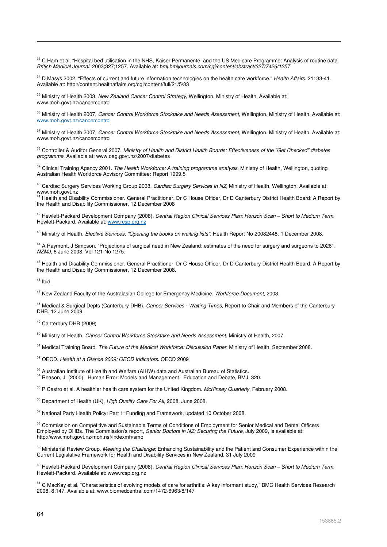<sup>33</sup> C Ham et al. "Hospital bed utilisation in the NHS. Kaiser Permanente, and the US Medicare Programme: Analysis of routine data. British Medical Journal, 2003;327;1257. Available at: bmj.bmjjournals.com/cgi/content/abstract/327/7426/1257

<sup>34</sup> D Masys 2002. "Effects of current and future information technologies on the health care workforce." Health Affairs. 21: 33-41. Available at: http://content.healthaffairs.org/cgi/content/full/21/5/33

<sup>35</sup> Ministry of Health 2003. New Zealand Cancer Control Strategy, Wellington. Ministry of Health. Available at: www.moh.govt.nz/cancercontrol

<sup>36</sup> Ministry of Health 2007, Cancer Control Workforce Stocktake and Needs Assessment, Wellington. Ministry of Health. Available at: www.moh.govt.nz/cancercontrol

37 Ministry of Health 2007, Cancer Control Workforce Stocktake and Needs Assessment, Wellington. Ministry of Health. Available at: www.moh.govt.nz/cancercontrol

<sup>38</sup> Controller & Auditor General 2007. Ministry of Health and District Health Boards: Effectiveness of the "Get Checked" diabetes programme. Available at: www.oag.govt.nz/2007/diabetes

<sup>39</sup> Clinical Training Agency 2001. The Health Workforce: A training programme analysis. Ministry of Health, Wellington, quoting Australian Health Workforce Advisory Committee: Report 1999.5

<sup>40</sup> Cardiac Surgery Services Working Group 2008. Cardiac Surgery Services in NZ, Ministry of Health, Wellington. Available at: www.moh.govt.nz

<sup>41</sup> Health and Disability Commissioner. General Practitioner, Dr C House Officer, Dr D Canterbury District Health Board: A Report by the Health and Disability Commissioner, 12 December 2008

<sup>42</sup> Hewlett-Packard Development Company (2008). Central Region Clinical Services Plan: Horizon Scan – Short to Medium Term. Hewlett-Packard. Available at: www.rcsp.org.nz

<sup>43</sup> Ministry of Health. Elective Services: "Opening the books on waiting lists". Health Report No 20082448. 1 December 2008.

<sup>44</sup> A Raymont, J Simpson. "Projections of surgical need in New Zealand: estimates of the need for surgery and surgeons to 2026". NZMJ, 6 June 2008. Vol 121 No 1275.

<sup>45</sup> Health and Disability Commissioner. General Practitioner, Dr C House Officer, Dr D Canterbury District Health Board: A Report by the Health and Disability Commissioner, 12 December 2008.

 $46$  Ibid

l

<sup>47</sup> New Zealand Faculty of the Australasian College for Emergency Medicine. Workforce Document, 2003.

<sup>48</sup> Medical & Surgical Depts (Canterbury DHB). Cancer Services - Waiting Times. Report to Chair and Members of the Canterbury DHB. 12 June 2009.

<sup>49</sup> Canterbury DHB (2009)

<sup>50</sup> Ministry of Health. Cancer Control Workforce Stocktake and Needs Assessment. Ministry of Health, 2007.

<sup>51</sup> Medical Training Board. The Future of the Medical Workforce: Discussion Paper. Ministry of Health, September 2008.

<sup>52</sup> OECD. Health at a Glance 2009: OECD Indicators. OECD 2009

<sup>53</sup> Australian Institute of Health and Welfare (AIHW) data and Australian Bureau of Statistics. <sup>54</sup> Reason, J. (2000). Human Error: Models and Management. Education and Debate, BMJ, 320.

<sup>55</sup> P Castro et al. A healthier health care system for the United Kingdom. McKinsey Quarterly, February 2008.

<sup>56</sup> Department of Health (UK), High Quality Care For All, 2008, June 2008.

<sup>57</sup> National Party Health Policy: Part 1: Funding and Framework, updated 10 October 2008.

58 Commission on Competitive and Sustainable Terms of Conditions of Employment for Senior Medical and Dental Officers Employed by DHBs. The Commission's report, Senior Doctors in NZ: Securing the Future, July 2009, is available at: http://www.moh.govt.nz/moh.nsf/indexmh/smo

<sup>59</sup> Ministerial Review Group. Meeting the Challenge: Enhancing Sustainability and the Patient and Consumer Experience within the Current Legislative Framework for Health and Disability Services in New Zealand. 31 July 2009

<sup>60</sup> Hewlett-Packard Development Company (2008). Central Region Clinical Services Plan: Horizon Scan – Short to Medium Term. Hewlett-Packard. Available at: www.rcsp.org.nz

<sup>61</sup> C MacKav et al, "Characteristics of evolving models of care for arthritis: A key informant study," BMC Health Services Research 2008, 8:147. Available at: www.biomedcentral.com/1472-6963/8/147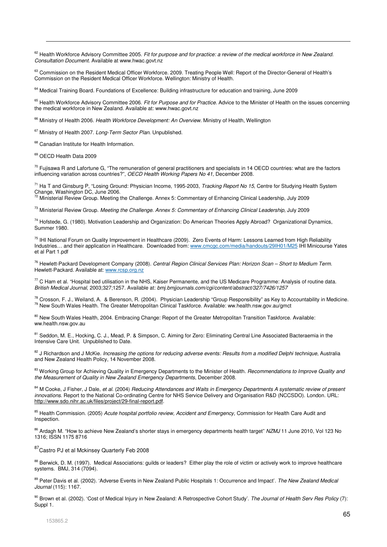<sup>62</sup> Health Workforce Advisory Committee 2005. Fit for purpose and for practice: a review of the medical workforce in New Zealand. Consultation Document. Available at www.hwac.govt.nz

63 Commission on the Resident Medical Officer Workforce. 2009. Treating People Well: Report of the Director-General of Health's Commission on the Resident Medical Officer Workforce. Wellington: Ministry of Health.

<sup>64</sup> Medical Training Board. Foundations of Excellence: Building infrastructure for education and training, June 2009

<sup>65</sup> Health Workforce Advisory Committee 2006. Fit for Purpose and for Practice. Advice to the Minister of Health on the issues concerning the medical workforce in New Zealand. Available at: www.hwac.govt.nz

<sup>66</sup> Ministry of Health 2006. Health Workforce Development: An Overview. Ministry of Health, Wellington

<sup>67</sup> Ministry of Health 2007. Long-Term Sector Plan. Unpublished.

<sup>68</sup> Canadian Institute for Health Information.

<sup>69</sup> OECD Health Data 2009

l

 $70$  Fujisawa R and Lafortune G, "The remuneration of general practitioners and specialists in 14 OECD countries: what are the factors influencing variation across countries?", OECD Health Working Papers No 41, December 2008.

<sup>71</sup> Ha T and Ginsburg P, "Losing Ground: Physician Income, 1995-2003, Tracking Report No 15, Centre for Studying Health System Change, Washington DC, June 2006.

72 Ministerial Review Group. Meeting the Challenge. Annex 5: Commentary of Enhancing Clinical Leadership, July 2009

 $73$  Ministerial Review Group. Meeting the Challenge. Annex 5: Commentary of Enhancing Clinical Leadership, July 2009

<sup>74</sup> Hofstede, G. (1980). Motivation Leadership and Organization: Do American Theories Apply Abroad? Organizational Dynamics, Summer 1980.

<sup>75</sup> IHI National Forum on Quality Improvement in Healthcare (2009). Zero Events of Harm: Lessons Learned from High Reliability Industries… and their application in Healthcare. Downloaded from: www.cmcgc.com/media/handouts/29IH01/M25 IHI Minicourse Yates et al Part 1.pdf

<sup>76</sup> Hewlett-Packard Development Company (2008). Central Region Clinical Services Plan: Horizon Scan – Short to Medium Term. Hewlett-Packard. Available at: www.rcsp.org.nz

 $77$  C Ham et al. "Hospital bed utilisation in the NHS. Kaiser Permanente, and the US Medicare Programme: Analysis of routine data. British Medical Journal, 2003;327;1257. Available at: bmj.bmjjournals.com/cgi/content/abstract/327/7426/1257

 $^{78}$  Crosson, F. J., Weiland, A. & Berenson, R. (2004). Physician Leadership "Group Responsibility" as Key to Accountability in Medicine. <sup>79</sup> New South Wales Health. The Greater Metropolitan Clinical Taskforce. Available: ww.health.nsw.gov.au/gmct

<sup>80</sup> New South Wales Health, 2004. Embracing Change: Report of the Greater Metropolitan Transition Taskforce. Available: ww.health.nsw.gov.au

81 Seddon, M. E., Hocking, C. J., Mead, P. & Simpson, C. Aiming for Zero: Eliminating Central Line Associated Bacteraemia in the Intensive Care Unit. Unpublished to Date.

82 J Richardson and J McKie. Increasing the options for reducing adverse events: Results from a modified Delphi technique, Australia and New Zealand Health Policy, 14 November 2008.

83 Working Group for Achieving Quality in Emergency Departments to the Minister of Health. Recommendations to Improve Quality and the Measurement of Quality in New Zealand Emergency Departments, December 2008.

84 M Cooke, J Fisher, J Dale, et al. (2004) Reducing Attendances and Waits in Emergency Departments A systematic review of present innovations. Report to the National Co-ordinating Centre for NHS Service Delivery and Organisation R&D (NCCSDO). London. URL: http://www.sdo.nihr.ac.uk/files/project/29-final-report.pdf.

<sup>85</sup> Health Commission. (2005) Acute hospital portfolio review, Accident and Emergency, Commission for Health Care Audit and Inspection.

<sup>86</sup> Ardagh M. "How to achieve New Zealand's shorter stays in emergency departments health target" NZMJ 11 June 2010, Vol 123 No 1316; ISSN 1175 8716

87 Castro PJ et al Mckinsey Quarterly Feb 2008

88 Berwick, D. M. (1997). Medical Associations: guilds or leaders? Either play the role of victim or actively work to improve healthcare systems. BMJ, 314 (7094).

89 Peter Davis et al. (2002). 'Adverse Events in New Zealand Public Hospitals 1: Occurrence and Impact'. The New Zealand Medical Journal (115): 1167.

90 Brown et al. (2002). 'Cost of Medical Injury in New Zealand: A Retrospective Cohort Study'. The Journal of Health Serv Res Policy (7): Suppl 1.